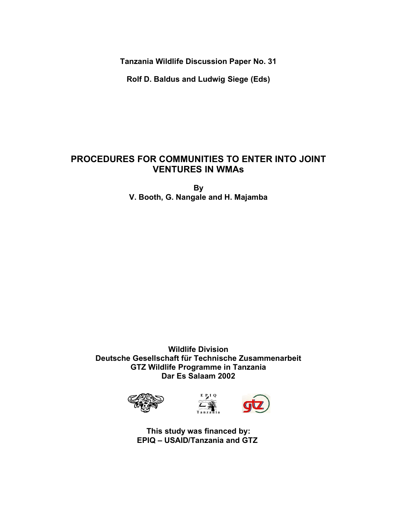**Tanzania Wildlife Discussion Paper No. 31**

**Rolf D. Baldus and Ludwig Siege (Eds)**

# **PROCEDURES FOR COMMUNITIES TO ENTER INTO JOINT VENTURES IN WMAs**

**By V. Booth, G. Nangale and H. Majamba**

**Wildlife Division Deutsche Gesellschaft für Technische Zusammenarbeit GTZ Wildlife Programme in Tanzania Dar Es Salaam 2002**





**This study was financed by: EPIQ – USAID/Tanzania and GTZ**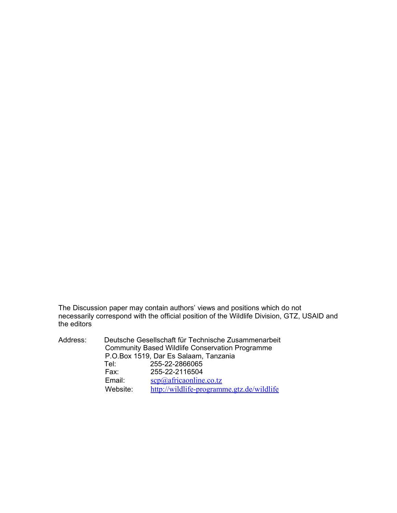The Discussion paper may contain authors' views and positions which do not necessarily correspond with the official position of the Wildlife Division, GTZ, USAID and the editors

| Address: | Deutsche Gesellschaft für Technische Zusammenarbeit    |                                            |  |  |  |
|----------|--------------------------------------------------------|--------------------------------------------|--|--|--|
|          | <b>Community Based Wildlife Conservation Programme</b> |                                            |  |  |  |
|          |                                                        | P.O.Box 1519, Dar Es Salaam, Tanzania      |  |  |  |
|          | Tel:                                                   | 255-22-2866065                             |  |  |  |
|          | Fax:                                                   | 255-22-2116504                             |  |  |  |
|          | Email:                                                 | $\frac{\text{scp}(a)}{a$ fricaonline.co.tz |  |  |  |
|          | Website:                                               | http://wildlife-programme.gtz.de/wildlife  |  |  |  |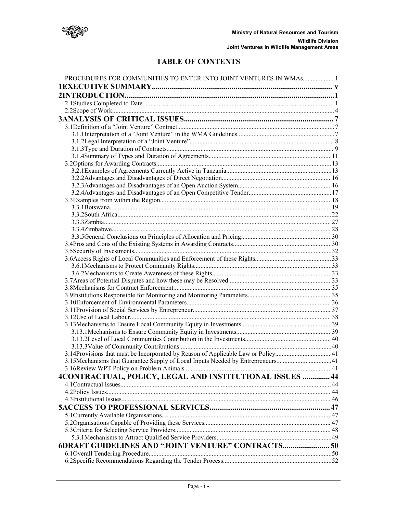

# **TABLE OF CONTENTS**

| PROCEDURES FOR COMMUNITIES TO ENTER INTO JOINT VENTURES IN WMAs 1                 |  |
|-----------------------------------------------------------------------------------|--|
|                                                                                   |  |
|                                                                                   |  |
|                                                                                   |  |
|                                                                                   |  |
|                                                                                   |  |
|                                                                                   |  |
|                                                                                   |  |
|                                                                                   |  |
|                                                                                   |  |
|                                                                                   |  |
|                                                                                   |  |
|                                                                                   |  |
|                                                                                   |  |
|                                                                                   |  |
|                                                                                   |  |
|                                                                                   |  |
|                                                                                   |  |
|                                                                                   |  |
|                                                                                   |  |
|                                                                                   |  |
|                                                                                   |  |
|                                                                                   |  |
|                                                                                   |  |
|                                                                                   |  |
|                                                                                   |  |
|                                                                                   |  |
|                                                                                   |  |
|                                                                                   |  |
|                                                                                   |  |
|                                                                                   |  |
|                                                                                   |  |
|                                                                                   |  |
|                                                                                   |  |
|                                                                                   |  |
|                                                                                   |  |
| 3.14Provisions that must be Incorporated by Reason of Applicable Law or Policy 41 |  |
| 3.15Mechanisms that Guarantee Supply of Local Inputs Needed by Entrepreneurs41    |  |
|                                                                                   |  |
| 4CONTRACTUAL, POLICY, LEGAL AND INSTITUTIONAL ISSUES  44                          |  |
|                                                                                   |  |
|                                                                                   |  |
|                                                                                   |  |
|                                                                                   |  |
|                                                                                   |  |
|                                                                                   |  |
|                                                                                   |  |
|                                                                                   |  |
|                                                                                   |  |
|                                                                                   |  |
|                                                                                   |  |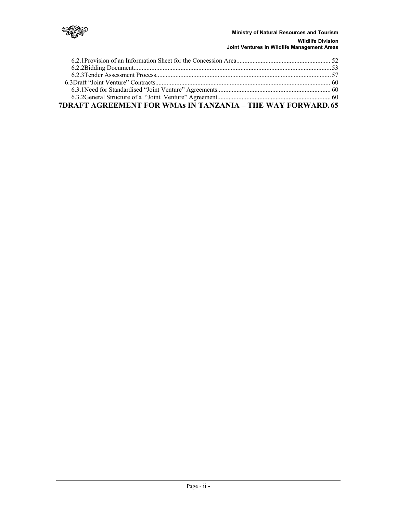

| 7DRAFT AGREEMENT FOR WMAs IN TANZANIA – THE WAY FORWARD. 65 |  |
|-------------------------------------------------------------|--|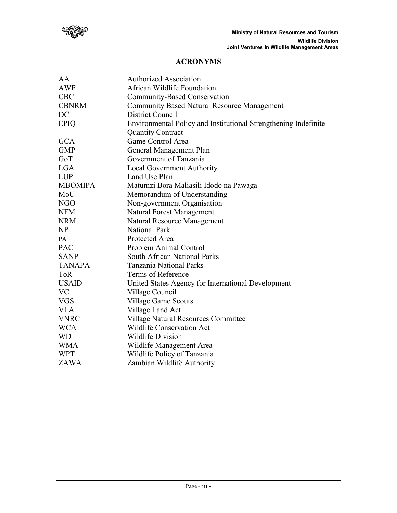

## **ACRONYMS**

| AA             | <b>Authorized Association</b>                                   |  |  |
|----------------|-----------------------------------------------------------------|--|--|
| AWF            | African Wildlife Foundation                                     |  |  |
| <b>CBC</b>     | Community-Based Conservation                                    |  |  |
| <b>CBNRM</b>   | <b>Community Based Natural Resource Management</b>              |  |  |
| DC             | District Council                                                |  |  |
| <b>EPIQ</b>    | Environmental Policy and Institutional Strengthening Indefinite |  |  |
|                | <b>Quantity Contract</b>                                        |  |  |
| <b>GCA</b>     | Game Control Area                                               |  |  |
| <b>GMP</b>     | General Management Plan                                         |  |  |
| GoT            | Government of Tanzania                                          |  |  |
| <b>LGA</b>     | <b>Local Government Authority</b>                               |  |  |
| <b>LUP</b>     | Land Use Plan                                                   |  |  |
| <b>MBOMIPA</b> | Matumzi Bora Maliasili Idodo na Pawaga                          |  |  |
| MoU            | Memorandum of Understanding                                     |  |  |
| NGO            | Non-government Organisation                                     |  |  |
| <b>NFM</b>     | <b>Natural Forest Management</b>                                |  |  |
| <b>NRM</b>     | <b>Natural Resource Management</b>                              |  |  |
| NP             | <b>National Park</b>                                            |  |  |
| PA             | Protected Area                                                  |  |  |
| <b>PAC</b>     | Problem Animal Control                                          |  |  |
| <b>SANP</b>    | South African National Parks                                    |  |  |
| <b>TANAPA</b>  | <b>Tanzania National Parks</b>                                  |  |  |
| <b>ToR</b>     | Terms of Reference                                              |  |  |
| <b>USAID</b>   | United States Agency for International Development              |  |  |
| <b>VC</b>      | Village Council                                                 |  |  |
| <b>VGS</b>     | <b>Village Game Scouts</b>                                      |  |  |
| <b>VLA</b>     | Village Land Act                                                |  |  |
| <b>VNRC</b>    | Village Natural Resources Committee                             |  |  |
| <b>WCA</b>     | <b>Wildlife Conservation Act</b>                                |  |  |
| <b>WD</b>      | <b>Wildlife Division</b>                                        |  |  |
| <b>WMA</b>     | Wildlife Management Area                                        |  |  |
| <b>WPT</b>     | Wildlife Policy of Tanzania                                     |  |  |
| ZAWA           | Zambian Wildlife Authority                                      |  |  |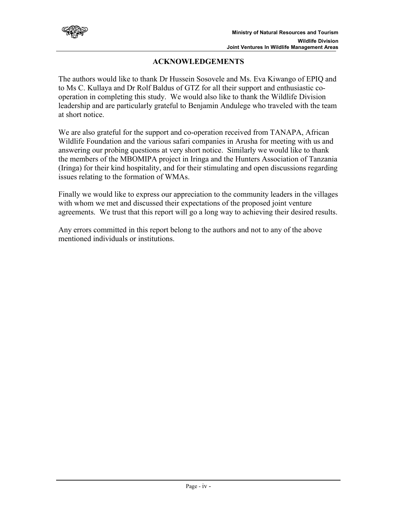

## **ACKNOWLEDGEMENTS**

The authors would like to thank Dr Hussein Sosovele and Ms. Eva Kiwango of EPIQ and to Ms C. Kullaya and Dr Rolf Baldus of GTZ for all their support and enthusiastic cooperation in completing this study. We would also like to thank the Wildlife Division leadership and are particularly grateful to Benjamin Andulege who traveled with the team at short notice.

We are also grateful for the support and co-operation received from TANAPA, African Wildlife Foundation and the various safari companies in Arusha for meeting with us and answering our probing questions at very short notice. Similarly we would like to thank the members of the MBOMIPA project in Iringa and the Hunters Association of Tanzania (Iringa) for their kind hospitality, and for their stimulating and open discussions regarding issues relating to the formation of WMAs.

Finally we would like to express our appreciation to the community leaders in the villages with whom we met and discussed their expectations of the proposed joint venture agreements. We trust that this report will go a long way to achieving their desired results.

Any errors committed in this report belong to the authors and not to any of the above mentioned individuals or institutions.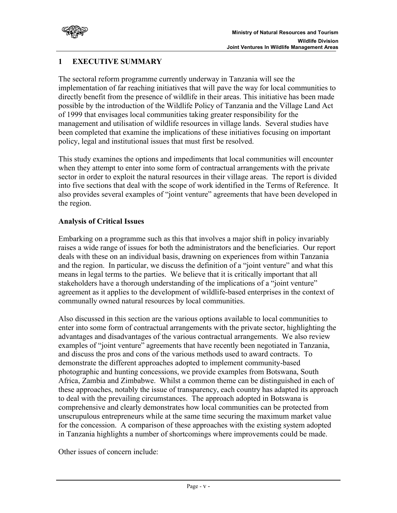

# **1 EXECUTIVE SUMMARY**

The sectoral reform programme currently underway in Tanzania will see the implementation of far reaching initiatives that will pave the way for local communities to directly benefit from the presence of wildlife in their areas. This initiative has been made possible by the introduction of the Wildlife Policy of Tanzania and the Village Land Act of 1999 that envisages local communities taking greater responsibility for the management and utilisation of wildlife resources in village lands. Several studies have been completed that examine the implications of these initiatives focusing on important policy, legal and institutional issues that must first be resolved.

This study examines the options and impediments that local communities will encounter when they attempt to enter into some form of contractual arrangements with the private sector in order to exploit the natural resources in their village areas. The report is divided into five sections that deal with the scope of work identified in the Terms of Reference. It also provides several examples of "joint venture" agreements that have been developed in the region.

## **Analysis of Critical Issues**

Embarking on a programme such as this that involves a major shift in policy invariably raises a wide range of issues for both the administrators and the beneficiaries. Our report deals with these on an individual basis, drawning on experiences from within Tanzania and the region. In particular, we discuss the definition of a "joint venture" and what this means in legal terms to the parties. We believe that it is critically important that all stakeholders have a thorough understanding of the implications of a "joint venture" agreement as it applies to the development of wildlife-based enterprises in the context of communally owned natural resources by local communities.

Also discussed in this section are the various options available to local communities to enter into some form of contractual arrangements with the private sector, highlighting the advantages and disadvantages of the various contractual arrangements. We also review examples of "joint venture" agreements that have recently been negotiated in Tanzania, and discuss the pros and cons of the various methods used to award contracts. To demonstrate the different approaches adopted to implement community-based photographic and hunting concessions, we provide examples from Botswana, South Africa, Zambia and Zimbabwe. Whilst a common theme can be distinguished in each of these approaches, notably the issue of transparency, each country has adapted its approach to deal with the prevailing circumstances. The approach adopted in Botswana is comprehensive and clearly demonstrates how local communities can be protected from unscrupulous entrepreneurs while at the same time securing the maximum market value for the concession. A comparison of these approaches with the existing system adopted in Tanzania highlights a number of shortcomings where improvements could be made.

Other issues of concern include: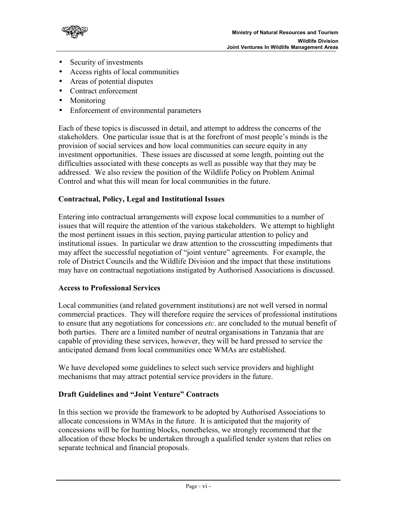

- Security of investments
- Access rights of local communities
- Areas of potential disputes
- Contract enforcement
- Monitoring
- Enforcement of environmental parameters

Each of these topics is discussed in detail, and attempt to address the concerns of the stakeholders. One particular issue that is at the forefront of most people's minds is the provision of social services and how local communities can secure equity in any investment opportunities. These issues are discussed at some length, pointing out the difficulties associated with these concepts as well as possible way that they may be addressed. We also review the position of the Wildlife Policy on Problem Animal Control and what this will mean for local communities in the future.

## **Contractual, Policy, Legal and Institutional Issues**

Entering into contractual arrangements will expose local communities to a number of issues that will require the attention of the various stakeholders. We attempt to highlight the most pertinent issues in this section, paying particular attention to policy and institutional issues. In particular we draw attention to the crosscutting impediments that may affect the successful negotiation of "joint venture" agreements. For example, the role of District Councils and the Wildlife Division and the impact that these institutions may have on contractual negotiations instigated by Authorised Associations is discussed.

#### **Access to Professional Services**

Local communities (and related government institutions) are not well versed in normal commercial practices. They will therefore require the services of professional institutions to ensure that any negotiations for concessions *etc*. are concluded to the mutual benefit of both parties. There are a limited number of neutral organisations in Tanzania that are capable of providing these services, however, they will be hard pressed to service the anticipated demand from local communities once WMAs are established.

We have developed some guidelines to select such service providers and highlight mechanisms that may attract potential service providers in the future.

## **Draft Guidelines and "Joint Venture" Contracts**

In this section we provide the framework to be adopted by Authorised Associations to allocate concessions in WMAs in the future. It is anticipated that the majority of concessions will be for hunting blocks, nonetheless, we strongly recommend that the allocation of these blocks be undertaken through a qualified tender system that relies on separate technical and financial proposals.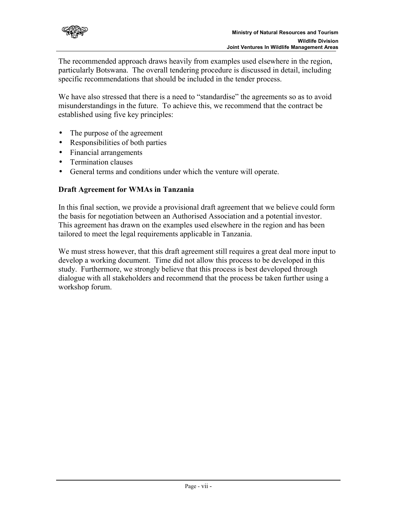

The recommended approach draws heavily from examples used elsewhere in the region, particularly Botswana. The overall tendering procedure is discussed in detail, including specific recommendations that should be included in the tender process.

We have also stressed that there is a need to "standardise" the agreements so as to avoid misunderstandings in the future. To achieve this, we recommend that the contract be established using five key principles:

- The purpose of the agreement
- Responsibilities of both parties
- Financial arrangements
- Termination clauses
- General terms and conditions under which the venture will operate.

## **Draft Agreement for WMAs in Tanzania**

In this final section, we provide a provisional draft agreement that we believe could form the basis for negotiation between an Authorised Association and a potential investor. This agreement has drawn on the examples used elsewhere in the region and has been tailored to meet the legal requirements applicable in Tanzania.

We must stress however, that this draft agreement still requires a great deal more input to develop a working document. Time did not allow this process to be developed in this study. Furthermore, we strongly believe that this process is best developed through dialogue with all stakeholders and recommend that the process be taken further using a workshop forum.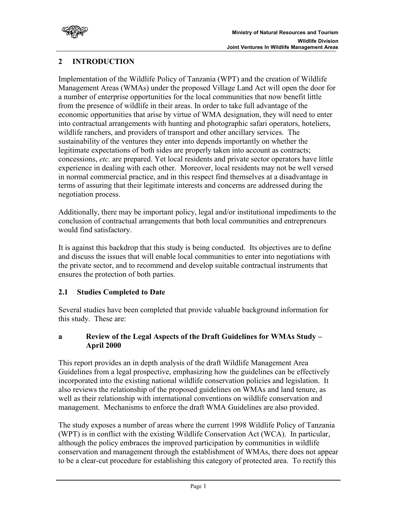

# **2 INTRODUCTION**

Implementation of the Wildlife Policy of Tanzania (WPT) and the creation of Wildlife Management Areas (WMAs) under the proposed Village Land Act will open the door for a number of enterprise opportunities for the local communities that now benefit little from the presence of wildlife in their areas. In order to take full advantage of the economic opportunities that arise by virtue of WMA designation, they will need to enter into contractual arrangements with hunting and photographic safari operators, hoteliers, wildlife ranchers, and providers of transport and other ancillary services. The sustainability of the ventures they enter into depends importantly on whether the legitimate expectations of both sides are properly taken into account as contracts; concessions, *etc.* are prepared. Yet local residents and private sector operators have little experience in dealing with each other. Moreover, local residents may not be well versed in normal commercial practice, and in this respect find themselves at a disadvantage in terms of assuring that their legitimate interests and concerns are addressed during the negotiation process.

Additionally, there may be important policy, legal and/or institutional impediments to the conclusion of contractual arrangements that both local communities and entrepreneurs would find satisfactory.

It is against this backdrop that this study is being conducted. Its objectives are to define and discuss the issues that will enable local communities to enter into negotiations with the private sector, and to recommend and develop suitable contractual instruments that ensures the protection of both parties.

## **2.1 Studies Completed to Date**

Several studies have been completed that provide valuable background information for this study. These are:

## **a Review of the Legal Aspects of the Draft Guidelines for WMAs Study – April 2000**

This report provides an in depth analysis of the draft Wildlife Management Area Guidelines from a legal prospective, emphasizing how the guidelines can be effectively incorporated into the existing national wildlife conservation policies and legislation. It also reviews the relationship of the proposed guidelines on WMAs and land tenure, as well as their relationship with international conventions on wildlife conservation and management. Mechanisms to enforce the draft WMA Guidelines are also provided.

The study exposes a number of areas where the current 1998 Wildlife Policy of Tanzania (WPT) is in conflict with the existing Wildlife Conservation Act (WCA). In particular, although the policy embraces the improved participation by communities in wildlife conservation and management through the establishment of WMAs, there does not appear to be a clear-cut procedure for establishing this category of protected area. To rectify this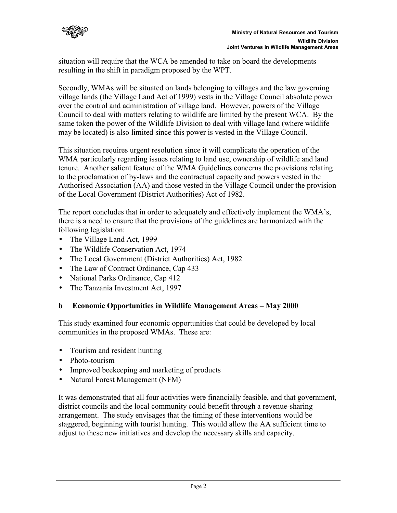

situation will require that the WCA be amended to take on board the developments resulting in the shift in paradigm proposed by the WPT.

Secondly, WMAs will be situated on lands belonging to villages and the law governing village lands (the Village Land Act of 1999) vests in the Village Council absolute power over the control and administration of village land. However, powers of the Village Council to deal with matters relating to wildlife are limited by the present WCA. By the same token the power of the Wildlife Division to deal with village land (where wildlife may be located) is also limited since this power is vested in the Village Council.

This situation requires urgent resolution since it will complicate the operation of the WMA particularly regarding issues relating to land use, ownership of wildlife and land tenure. Another salient feature of the WMA Guidelines concerns the provisions relating to the proclamation of by-laws and the contractual capacity and powers vested in the Authorised Association (AA) and those vested in the Village Council under the provision of the Local Government (District Authorities) Act of 1982.

The report concludes that in order to adequately and effectively implement the WMA's, there is a need to ensure that the provisions of the guidelines are harmonized with the following legislation:

- The Village Land Act, 1999
- The Wildlife Conservation Act, 1974
- The Local Government (District Authorities) Act, 1982
- The Law of Contract Ordinance, Cap 433
- National Parks Ordinance, Cap 412
- The Tanzania Investment Act, 1997

## **b Economic Opportunities in Wildlife Management Areas – May 2000**

This study examined four economic opportunities that could be developed by local communities in the proposed WMAs. These are:

- Tourism and resident hunting
- Photo-tourism
- Improved beekeeping and marketing of products
- Natural Forest Management (NFM)

It was demonstrated that all four activities were financially feasible, and that government, district councils and the local community could benefit through a revenue-sharing arrangement. The study envisages that the timing of these interventions would be staggered, beginning with tourist hunting. This would allow the AA sufficient time to adjust to these new initiatives and develop the necessary skills and capacity.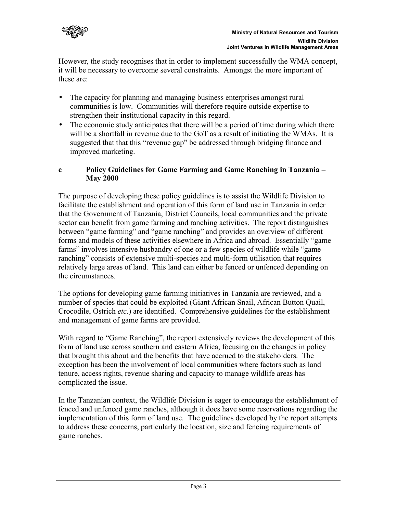

However, the study recognises that in order to implement successfully the WMA concept, it will be necessary to overcome several constraints. Amongst the more important of these are:

- The capacity for planning and managing business enterprises amongst rural communities is low. Communities will therefore require outside expertise to strengthen their institutional capacity in this regard.
- The economic study anticipates that there will be a period of time during which there will be a shortfall in revenue due to the GoT as a result of initiating the WMAs. It is suggested that that this "revenue gap" be addressed through bridging finance and improved marketing.

## **c Policy Guidelines for Game Farming and Game Ranching in Tanzania – May 2000**

The purpose of developing these policy guidelines is to assist the Wildlife Division to facilitate the establishment and operation of this form of land use in Tanzania in order that the Government of Tanzania, District Councils, local communities and the private sector can benefit from game farming and ranching activities. The report distinguishes between "game farming" and "game ranching" and provides an overview of different forms and models of these activities elsewhere in Africa and abroad. Essentially "game farms" involves intensive husbandry of one or a few species of wildlife while "game ranching" consists of extensive multi-species and multi-form utilisation that requires relatively large areas of land. This land can either be fenced or unfenced depending on the circumstances.

The options for developing game farming initiatives in Tanzania are reviewed, and a number of species that could be exploited (Giant African Snail, African Button Quail, Crocodile, Ostrich *etc.*) are identified. Comprehensive guidelines for the establishment and management of game farms are provided.

With regard to "Game Ranching", the report extensively reviews the development of this form of land use across southern and eastern Africa, focusing on the changes in policy that brought this about and the benefits that have accrued to the stakeholders. The exception has been the involvement of local communities where factors such as land tenure, access rights, revenue sharing and capacity to manage wildlife areas has complicated the issue.

In the Tanzanian context, the Wildlife Division is eager to encourage the establishment of fenced and unfenced game ranches, although it does have some reservations regarding the implementation of this form of land use. The guidelines developed by the report attempts to address these concerns, particularly the location, size and fencing requirements of game ranches.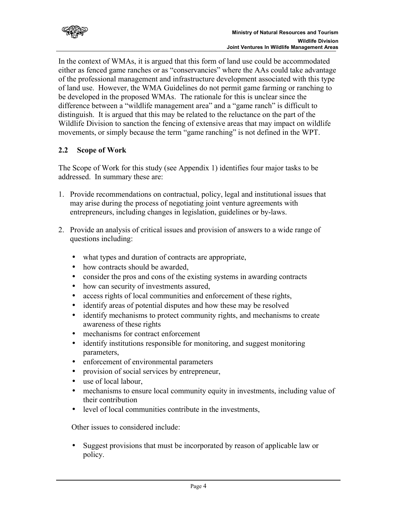

In the context of WMAs, it is argued that this form of land use could be accommodated either as fenced game ranches or as "conservancies" where the AAs could take advantage of the professional management and infrastructure development associated with this type of land use. However, the WMA Guidelines do not permit game farming or ranching to be developed in the proposed WMAs. The rationale for this is unclear since the difference between a "wildlife management area" and a "game ranch" is difficult to distinguish. It is argued that this may be related to the reluctance on the part of the Wildlife Division to sanction the fencing of extensive areas that may impact on wildlife movements, or simply because the term "game ranching" is not defined in the WPT.

# **2.2 Scope of Work**

The Scope of Work for this study (see Appendix 1) identifies four major tasks to be addressed. In summary these are:

- 1. Provide recommendations on contractual, policy, legal and institutional issues that may arise during the process of negotiating joint venture agreements with entrepreneurs, including changes in legislation, guidelines or by-laws.
- 2. Provide an analysis of critical issues and provision of answers to a wide range of questions including:
	- what types and duration of contracts are appropriate,
	- how contracts should be awarded,
	- consider the pros and cons of the existing systems in awarding contracts
	- how can security of investments assured,
	- access rights of local communities and enforcement of these rights,
	- identify areas of potential disputes and how these may be resolved
	- identify mechanisms to protect community rights, and mechanisms to create awareness of these rights
	- mechanisms for contract enforcement
	- identify institutions responsible for monitoring, and suggest monitoring parameters,
	- enforcement of environmental parameters
	- provision of social services by entrepreneur,
	- use of local labour,
	- mechanisms to ensure local community equity in investments, including value of their contribution
	- level of local communities contribute in the investments,

Other issues to considered include:

• Suggest provisions that must be incorporated by reason of applicable law or policy.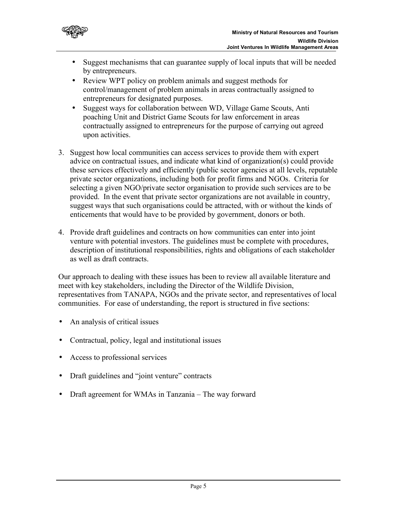

- Suggest mechanisms that can guarantee supply of local inputs that will be needed by entrepreneurs.
- Review WPT policy on problem animals and suggest methods for control/management of problem animals in areas contractually assigned to entrepreneurs for designated purposes.
- Suggest ways for collaboration between WD, Village Game Scouts, Anti poaching Unit and District Game Scouts for law enforcement in areas contractually assigned to entrepreneurs for the purpose of carrying out agreed upon activities.
- 3. Suggest how local communities can access services to provide them with expert advice on contractual issues, and indicate what kind of organization(s) could provide these services effectively and efficiently (public sector agencies at all levels, reputable private sector organizations, including both for profit firms and NGOs. Criteria for selecting a given NGO/private sector organisation to provide such services are to be provided. In the event that private sector organizations are not available in country, suggest ways that such organisations could be attracted, with or without the kinds of enticements that would have to be provided by government, donors or both.
- 4. Provide draft guidelines and contracts on how communities can enter into joint venture with potential investors. The guidelines must be complete with procedures, description of institutional responsibilities, rights and obligations of each stakeholder as well as draft contracts.

Our approach to dealing with these issues has been to review all available literature and meet with key stakeholders, including the Director of the Wildlife Division, representatives from TANAPA, NGOs and the private sector, and representatives of local communities. For ease of understanding, the report is structured in five sections:

- An analysis of critical issues
- Contractual, policy, legal and institutional issues
- Access to professional services
- Draft guidelines and "joint venture" contracts
- Draft agreement for WMAs in Tanzania The way forward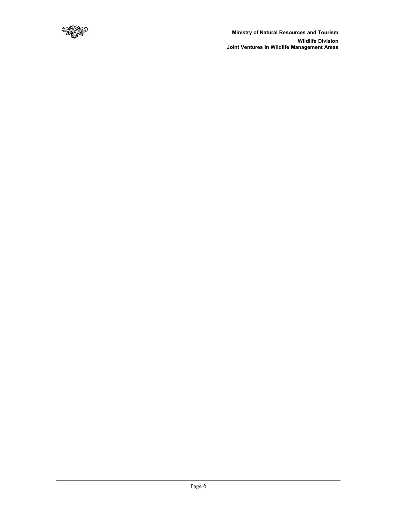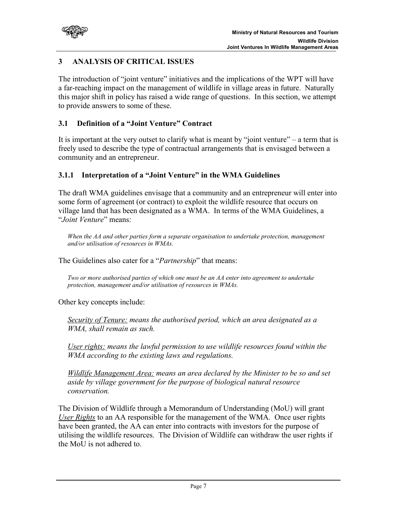

## **3 ANALYSIS OF CRITICAL ISSUES**

The introduction of "joint venture" initiatives and the implications of the WPT will have a far-reaching impact on the management of wildlife in village areas in future. Naturally this major shift in policy has raised a wide range of questions. In this section, we attempt to provide answers to some of these.

## **3.1 Definition of a "Joint Venture" Contract**

It is important at the very outset to clarify what is meant by "joint venture" – a term that is freely used to describe the type of contractual arrangements that is envisaged between a community and an entrepreneur.

#### **3.1.1 Interpretation of a "Joint Venture" in the WMA Guidelines**

The draft WMA guidelines envisage that a community and an entrepreneur will enter into some form of agreement (or contract) to exploit the wildlife resource that occurs on village land that has been designated as a WMA. In terms of the WMA Guidelines, a "*Joint Venture*" means:

*When the AA and other parties form a separate organisation to undertake protection, management and/or utilisation of resources in WMAs.*

The Guidelines also cater for a "*Partnership*" that means:

*Two or more authorised parties of which one must be an AA enter into agreement to undertake protection, management and/or utilisation of resources in WMAs.*

Other key concepts include:

*Security of Tenure: means the authorised period, which an area designated as a WMA, shall remain as such.*

*User rights: means the lawful permission to use wildlife resources found within the WMA according to the existing laws and regulations.*

*Wildlife Management Area: means an area declared by the Minister to be so and set aside by village government for the purpose of biological natural resource conservation.*

The Division of Wildlife through a Memorandum of Understanding (MoU) will grant *User Rights* to an AA responsible for the management of the WMA. Once user rights have been granted, the AA can enter into contracts with investors for the purpose of utilising the wildlife resources. The Division of Wildlife can withdraw the user rights if the MoU is not adhered to.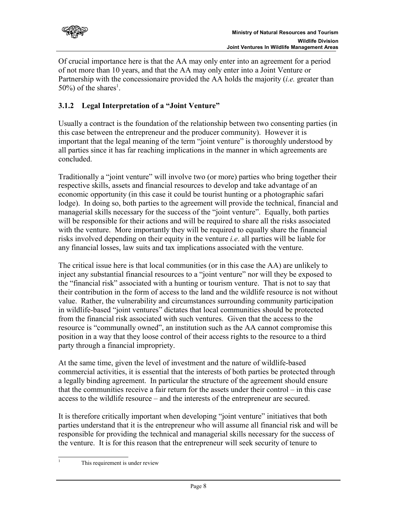

Of crucial importance here is that the AA may only enter into an agreement for a period of not more than 10 years, and that the AA may only enter into a Joint Venture or Partnership with the concessionaire provided the AA holds the majority (*i.e.* greater than  $50\%$ ) of the shares<sup>1</sup>.

## **3.1.2 Legal Interpretation of a "Joint Venture"**

Usually a contract is the foundation of the relationship between two consenting parties (in this case between the entrepreneur and the producer community). However it is important that the legal meaning of the term "joint venture" is thoroughly understood by all parties since it has far reaching implications in the manner in which agreements are concluded.

Traditionally a "joint venture" will involve two (or more) parties who bring together their respective skills, assets and financial resources to develop and take advantage of an economic opportunity (in this case it could be tourist hunting or a photographic safari lodge). In doing so, both parties to the agreement will provide the technical, financial and managerial skills necessary for the success of the "joint venture". Equally, both parties will be responsible for their actions and will be required to share all the risks associated with the venture. More importantly they will be required to equally share the financial risks involved depending on their equity in the venture *i.e*. all parties will be liable for any financial losses, law suits and tax implications associated with the venture.

The critical issue here is that local communities (or in this case the AA) are unlikely to inject any substantial financial resources to a "joint venture" nor will they be exposed to the "financial risk" associated with a hunting or tourism venture. That is not to say that their contribution in the form of access to the land and the wildlife resource is not without value. Rather, the vulnerability and circumstances surrounding community participation in wildlife-based "joint ventures" dictates that local communities should be protected from the financial risk associated with such ventures. Given that the access to the resource is "communally owned", an institution such as the AA cannot compromise this position in a way that they loose control of their access rights to the resource to a third party through a financial impropriety.

At the same time, given the level of investment and the nature of wildlife-based commercial activities, it is essential that the interests of both parties be protected through a legally binding agreement. In particular the structure of the agreement should ensure that the communities receive a fair return for the assets under their control – in this case access to the wildlife resource – and the interests of the entrepreneur are secured.

It is therefore critically important when developing "joint venture" initiatives that both parties understand that it is the entrepreneur who will assume all financial risk and will be responsible for providing the technical and managerial skills necessary for the success of the venture. It is for this reason that the entrepreneur will seek security of tenure to

This requirement is under review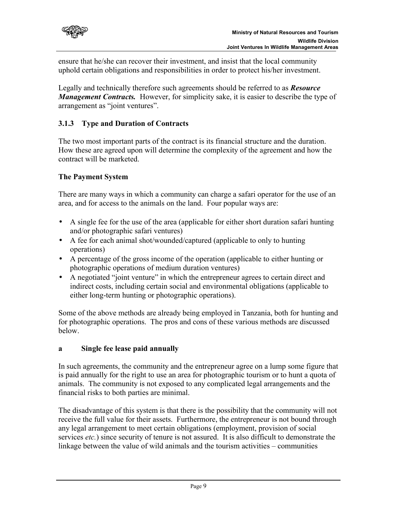

ensure that he/she can recover their investment, and insist that the local community uphold certain obligations and responsibilities in order to protect his/her investment.

Legally and technically therefore such agreements should be referred to as *Resource Management Contracts.* However, for simplicity sake, it is easier to describe the type of arrangement as "joint ventures".

## **3.1.3 Type and Duration of Contracts**

The two most important parts of the contract is its financial structure and the duration. How these are agreed upon will determine the complexity of the agreement and how the contract will be marketed.

## **The Payment System**

There are many ways in which a community can charge a safari operator for the use of an area, and for access to the animals on the land. Four popular ways are:

- A single fee for the use of the area (applicable for either short duration safari hunting and/or photographic safari ventures)
- A fee for each animal shot/wounded/captured (applicable to only to hunting operations)
- A percentage of the gross income of the operation (applicable to either hunting or photographic operations of medium duration ventures)
- A negotiated "joint venture" in which the entrepreneur agrees to certain direct and indirect costs, including certain social and environmental obligations (applicable to either long-term hunting or photographic operations).

Some of the above methods are already being employed in Tanzania, both for hunting and for photographic operations. The pros and cons of these various methods are discussed below.

#### **a Single fee lease paid annually**

In such agreements, the community and the entrepreneur agree on a lump some figure that is paid annually for the right to use an area for photographic tourism or to hunt a quota of animals. The community is not exposed to any complicated legal arrangements and the financial risks to both parties are minimal.

The disadvantage of this system is that there is the possibility that the community will not receive the full value for their assets. Furthermore, the entrepreneur is not bound through any legal arrangement to meet certain obligations (employment, provision of social services *etc.*) since security of tenure is not assured. It is also difficult to demonstrate the linkage between the value of wild animals and the tourism activities – communities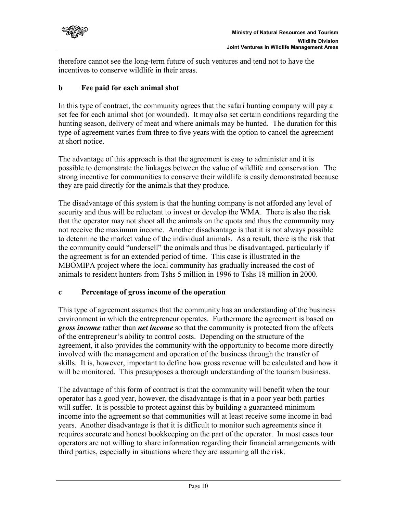

therefore cannot see the long-term future of such ventures and tend not to have the incentives to conserve wildlife in their areas.

## **b Fee paid for each animal shot**

In this type of contract, the community agrees that the safari hunting company will pay a set fee for each animal shot (or wounded). It may also set certain conditions regarding the hunting season, delivery of meat and where animals may be hunted. The duration for this type of agreement varies from three to five years with the option to cancel the agreement at short notice.

The advantage of this approach is that the agreement is easy to administer and it is possible to demonstrate the linkages between the value of wildlife and conservation. The strong incentive for communities to conserve their wildlife is easily demonstrated because they are paid directly for the animals that they produce.

The disadvantage of this system is that the hunting company is not afforded any level of security and thus will be reluctant to invest or develop the WMA. There is also the risk that the operator may not shoot all the animals on the quota and thus the community may not receive the maximum income. Another disadvantage is that it is not always possible to determine the market value of the individual animals. As a result, there is the risk that the community could "undersell" the animals and thus be disadvantaged, particularly if the agreement is for an extended period of time. This case is illustrated in the MBOMIPA project where the local community has gradually increased the cost of animals to resident hunters from Tshs 5 million in 1996 to Tshs 18 million in 2000.

## **c Percentage of gross income of the operation**

This type of agreement assumes that the community has an understanding of the business environment in which the entrepreneur operates. Furthermore the agreement is based on *gross income* rather than *net income* so that the community is protected from the affects of the entrepreneur's ability to control costs. Depending on the structure of the agreement, it also provides the community with the opportunity to become more directly involved with the management and operation of the business through the transfer of skills. It is, however, important to define how gross revenue will be calculated and how it will be monitored. This presupposes a thorough understanding of the tourism business.

The advantage of this form of contract is that the community will benefit when the tour operator has a good year, however, the disadvantage is that in a poor year both parties will suffer. It is possible to protect against this by building a guaranteed minimum income into the agreement so that communities will at least receive some income in bad years. Another disadvantage is that it is difficult to monitor such agreements since it requires accurate and honest bookkeeping on the part of the operator. In most cases tour operators are not willing to share information regarding their financial arrangements with third parties, especially in situations where they are assuming all the risk.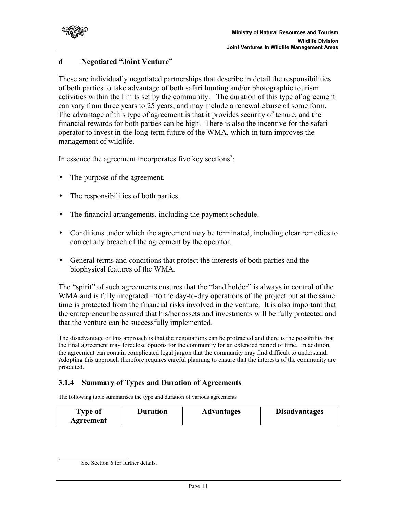

## **d Negotiated "Joint Venture"**

These are individually negotiated partnerships that describe in detail the responsibilities of both parties to take advantage of both safari hunting and/or photographic tourism activities within the limits set by the community. The duration of this type of agreement can vary from three years to 25 years, and may include a renewal clause of some form. The advantage of this type of agreement is that it provides security of tenure, and the financial rewards for both parties can be high. There is also the incentive for the safari operator to invest in the long-term future of the WMA, which in turn improves the management of wildlife.

In essence the agreement incorporates five key sections<sup>2</sup>:

- The purpose of the agreement.
- The responsibilities of both parties.
- The financial arrangements, including the payment schedule.
- Conditions under which the agreement may be terminated, including clear remedies to correct any breach of the agreement by the operator.
- General terms and conditions that protect the interests of both parties and the biophysical features of the WMA.

The "spirit" of such agreements ensures that the "land holder" is always in control of the WMA and is fully integrated into the day-to-day operations of the project but at the same time is protected from the financial risks involved in the venture. It is also important that the entrepreneur be assured that his/her assets and investments will be fully protected and that the venture can be successfully implemented.

The disadvantage of this approach is that the negotiations can be protracted and there is the possibility that the final agreement may foreclose options for the community for an extended period of time. In addition, the agreement can contain complicated legal jargon that the community may find difficult to understand. Adopting this approach therefore requires careful planning to ensure that the interests of the community are protected.

## **3.1.4 Summary of Types and Duration of Agreements**

The following table summarises the type and duration of various agreements:

| <b>Type of</b> | <b>Duration</b> | Advantages | <b>Disadvantages</b> |
|----------------|-----------------|------------|----------------------|
| Agreement      |                 |            |                      |

2 See Section 6 for further details.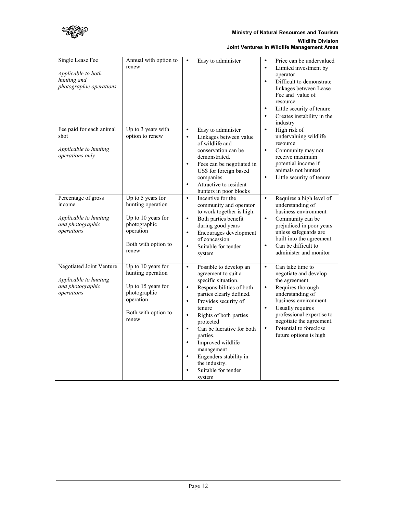

#### **Ministry of Natural Resources and Tourism**

**Wildlife Division**

**Joint Ventures In Wildlife Management Areas**

| Single Lease Fee<br>Applicable to both<br>hunting and<br>photographic operations         | Annual with option to<br>renew                                                                                              | $\bullet$<br>Easy to administer                                                                                                                                                                                                                                                                                                                                                                                                                                       | Price can be undervalued<br>$\bullet$<br>Limited investment by<br>$\bullet$<br>operator<br>Difficult to demonstrate<br>$\bullet$<br>linkages between Lease<br>Fee and value of<br>resource<br>Little security of tenure<br>$\bullet$<br>Creates instability in the<br>$\bullet$<br>industry                        |
|------------------------------------------------------------------------------------------|-----------------------------------------------------------------------------------------------------------------------------|-----------------------------------------------------------------------------------------------------------------------------------------------------------------------------------------------------------------------------------------------------------------------------------------------------------------------------------------------------------------------------------------------------------------------------------------------------------------------|--------------------------------------------------------------------------------------------------------------------------------------------------------------------------------------------------------------------------------------------------------------------------------------------------------------------|
| Fee paid for each animal<br>shot<br>Applicable to hunting<br>operations only             | Up to 3 years with<br>option to renew                                                                                       | $\bullet$<br>Easy to administer<br>Linkages between value<br>$\bullet$<br>of wildlife and<br>conservation can be<br>demonstrated.<br>Fees can be negotiated in<br>$\bullet$<br>US\$ for foreign based<br>companies.<br>Attractive to resident<br>$\bullet$<br>hunters in poor blocks                                                                                                                                                                                  | High risk of<br>$\bullet$<br>undervaluing wildlife<br>resource<br>Community may not<br>$\bullet$<br>receive maximum<br>potential income if<br>animals not hunted<br>Little security of tenure<br>$\bullet$                                                                                                         |
| Percentage of gross<br>income<br>Applicable to hunting<br>and photographic<br>operations | Up to 5 years for<br>hunting operation<br>Up to $10$ years for<br>photographic<br>operation<br>Both with option to<br>renew | Incentive for the<br>$\bullet$<br>community and operator<br>to work together is high.<br>Both parties benefit<br>$\bullet$<br>during good years<br>Encourages development<br>$\bullet$<br>of concession<br>Suitable for tender<br>$\bullet$<br>system                                                                                                                                                                                                                 | Requires a high level of<br>$\bullet$<br>understanding of<br>business environment.<br>Community can be<br>$\bullet$<br>prejudiced in poor years<br>unless safeguards are<br>built into the agreement.<br>Can be difficult to<br>$\bullet$<br>administer and monitor                                                |
| Negotiated Joint Venture<br>Applicable to hunting<br>and photographic<br>operations      | Up to 10 years for<br>hunting operation<br>Up to 15 years for<br>photographic<br>operation<br>Both with option to<br>renew  | Possible to develop an<br>$\bullet$<br>agreement to suit a<br>specific situation.<br>Responsibilities of both<br>$\bullet$<br>parties clearly defined.<br>Provides security of<br>$\bullet$<br>tenure<br>Rights of both parties<br>$\bullet$<br>protected<br>Can be lucrative for both<br>$\bullet$<br>parties.<br>Improved wildlife<br>$\bullet$<br>management<br>Engenders stability in<br>$\bullet$<br>the industry.<br>Suitable for tender<br>$\bullet$<br>system | Can take time to<br>$\bullet$<br>negotiate and develop<br>the agreement.<br>Requires thorough<br>$\bullet$<br>understanding of<br>business environment.<br>Usually requires<br>$\bullet$<br>professional expertise to<br>negotiate the agreement.<br>Potential to foreclose<br>$\bullet$<br>future options is high |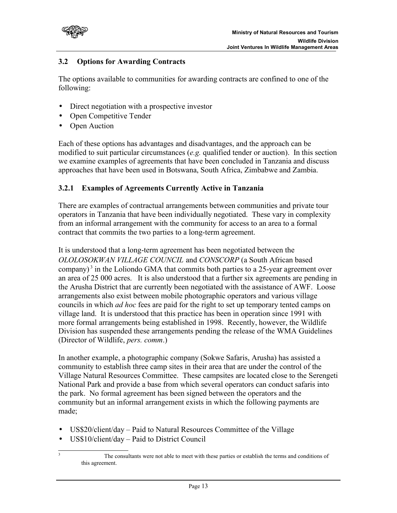

## **3.2 Options for Awarding Contracts**

The options available to communities for awarding contracts are confined to one of the following:

- Direct negotiation with a prospective investor
- Open Competitive Tender
- Open Auction

Each of these options has advantages and disadvantages, and the approach can be modified to suit particular circumstances (*e.g.* qualified tender or auction). In this section we examine examples of agreements that have been concluded in Tanzania and discuss approaches that have been used in Botswana, South Africa, Zimbabwe and Zambia.

#### **3.2.1 Examples of Agreements Currently Active in Tanzania**

There are examples of contractual arrangements between communities and private tour operators in Tanzania that have been individually negotiated. These vary in complexity from an informal arrangement with the community for access to an area to a formal contract that commits the two parties to a long-term agreement.

It is understood that a long-term agreement has been negotiated between the *OLOLOSOKWAN VILLAGE COUNCIL* and *CONSCORP* (a South African based company) 3 in the Loliondo GMA that commits both parties to a 25-year agreement over an area of 25 000 acres. It is also understood that a further six agreements are pending in the Arusha District that are currently been negotiated with the assistance of AWF. Loose arrangements also exist between mobile photographic operators and various village councils in which *ad hoc* fees are paid for the right to set up temporary tented camps on village land. It is understood that this practice has been in operation since 1991 with more formal arrangements being established in 1998. Recently, however, the Wildlife Division has suspended these arrangements pending the release of the WMA Guidelines (Director of Wildlife, *pers. comm*.)

In another example, a photographic company (Sokwe Safaris, Arusha) has assisted a community to establish three camp sites in their area that are under the control of the Village Natural Resources Committee. These campsites are located close to the Serengeti National Park and provide a base from which several operators can conduct safaris into the park. No formal agreement has been signed between the operators and the community but an informal arrangement exists in which the following payments are made;

- US\$20/client/day Paid to Natural Resources Committee of the Village
- US\$10/client/day Paid to District Council
- 

<sup>&</sup>lt;sup>3</sup><br>The consultants were not able to meet with these parties or establish the terms and conditions of this agreement.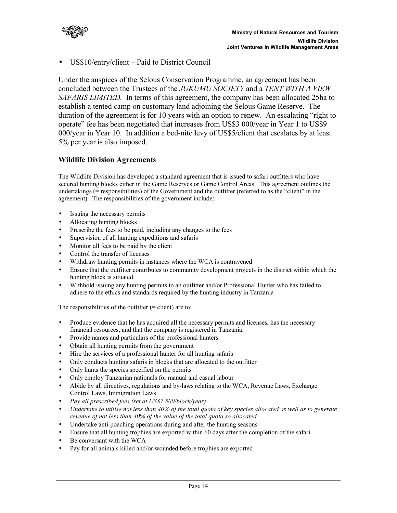

• US\$10/entry/client – Paid to District Council

Under the auspices of the Selous Conservation Programme, an agreement has been concluded between the Trustees of the *JUKUMU SOCIETY* and a *TENT WITH A VIEW SAFARIS LIMITED.* In terms of this agreement, the company has been allocated 25ha to establish a tented camp on customary land adjoining the Selous Game Reserve. The duration of the agreement is for 10 years with an option to renew. An escalating "right to operate" fee has been negotiated that increases from US\$3 000/year in Year 1 to US\$9 000/year in Year 10. In addition a bed-nite levy of US\$5/client that escalates by at least 5% per year is also imposed.

#### **Wildlife Division Agreements**

The Wildlife Division has developed a standard agreement that is issued to safari outfitters who have secured hunting blocks either in the Game Reserves or Game Control Areas. This agreement outlines the undertakings (= responsibilities) of the Government and the outfitter (referred to as the "client" in the agreement). The responsibilities of the government include:

- Issuing the necessary permits
- Allocating hunting blocks
- Prescribe the fees to be paid, including any changes to the fees
- Supervision of all hunting expeditions and safaris
- Monitor all fees to be paid by the client
- Control the transfer of licenses
- Withdraw hunting permits in instances where the WCA is contravened
- Ensure that the outfitter contributes to community development projects in the district within which the hunting block is situated
- Withhold issuing any hunting permits to an outfitter and/or Professional Hunter who has failed to adhere to the ethics and standards required by the hunting industry in Tanzania

The responsibilities of the outfitter  $(=$  client) are to:

- Produce evidence that he has acquired all the necessary permits and licenses, has the necessary financial resources, and that the company is registered in Tanzania.
- Provide names and particulars of the professional hunters
- Obtain all hunting permits from the government
- Hire the services of a professional hunter for all hunting safaris
- Only conducts hunting safaris in blocks that are allocated to the outfitter
- Only hunts the species specified on the permits
- Only employ Tanzanian nationals for manual and casual labour
- Abide by all directives, regulations and by-laws relating to the WCA, Revenue Laws, Exchange Control Laws, Immigration Laws
- *Pay all prescribed fees (set at US\$7 500/block/year)*
- *Undertake to utilise not less than 40% of the total quota of key species allocated as well as to generate revenue of not less than 40% of the value of the total quota so allocated*
- Undertake anti-poaching operations during and after the hunting seasons
- Ensure that all hunting trophies are exported within 60 days after the completion of the safari
- Be conversant with the WCA
- Pay for all animals killed and/or wounded before trophies are exported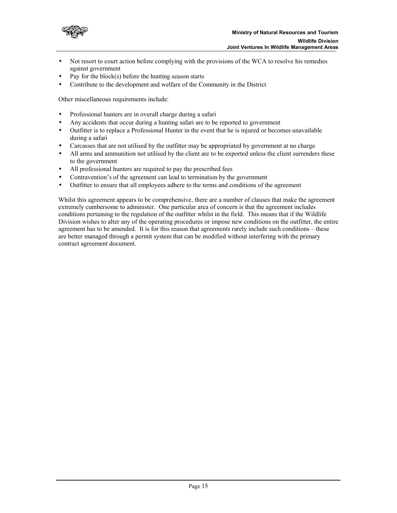

- Not resort to court action before complying with the provisions of the WCA to resolve his remedies against government
- Pay for the block $(s)$  before the hunting season starts
- Contribute to the development and welfare of the Community in the District

Other miscellaneous requirements include:

- Professional hunters are in overall charge during a safari
- Any accidents that occur during a hunting safari are to be reported to government
- Outfitter is to replace a Professional Hunter in the event that he is injured or becomes unavailable during a safari
- Carcasses that are not utilised by the outfitter may be appropriated by government at no charge
- All arms and ammunition not utilised by the client are to be exported unless the client surrenders these to the government
- All professional hunters are required to pay the prescribed fees
- Contravention's of the agreement can lead to termination by the government
- Outfitter to ensure that all employees adhere to the terms and conditions of the agreement

Whilst this agreement appears to be comprehensive, there are a number of clauses that make the agreement extremely cumbersome to administer. One particular area of concern is that the agreement includes conditions pertaining to the regulation of the outfitter whilst in the field. This means that if the Wildlife Division wishes to alter any of the operating procedures or impose new conditions on the outfitter, the entire agreement has to be amended. It is for this reason that agreements rarely include such conditions – these are better managed through a permit system that can be modified without interfering with the primary contract agreement document.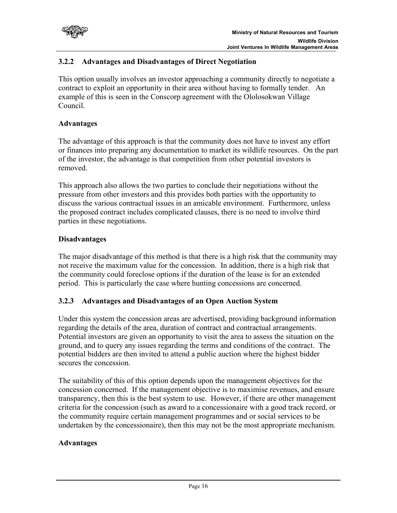

## **3.2.2 Advantages and Disadvantages of Direct Negotiation**

This option usually involves an investor approaching a community directly to negotiate a contract to exploit an opportunity in their area without having to formally tender. An example of this is seen in the Conscorp agreement with the Ololosokwan Village Council.

#### **Advantages**

The advantage of this approach is that the community does not have to invest any effort or finances into preparing any documentation to market its wildlife resources. On the part of the investor, the advantage is that competition from other potential investors is removed.

This approach also allows the two parties to conclude their negotiations without the pressure from other investors and this provides both parties with the opportunity to discuss the various contractual issues in an amicable environment. Furthermore, unless the proposed contract includes complicated clauses, there is no need to involve third parties in these negotiations.

#### **Disadvantages**

The major disadvantage of this method is that there is a high risk that the community may not receive the maximum value for the concession. In addition, there is a high risk that the community could foreclose options if the duration of the lease is for an extended period. This is particularly the case where hunting concessions are concerned.

#### **3.2.3 Advantages and Disadvantages of an Open Auction System**

Under this system the concession areas are advertised, providing background information regarding the details of the area, duration of contract and contractual arrangements. Potential investors are given an opportunity to visit the area to assess the situation on the ground, and to query any issues regarding the terms and conditions of the contract. The potential bidders are then invited to attend a public auction where the highest bidder secures the concession.

The suitability of this of this option depends upon the management objectives for the concession concerned. If the management objective is to maximise revenues, and ensure transparency, then this is the best system to use. However, if there are other management criteria for the concession (such as award to a concessionaire with a good track record, or the community require certain management programmes and or social services to be undertaken by the concessionaire), then this may not be the most appropriate mechanism.

#### **Advantages**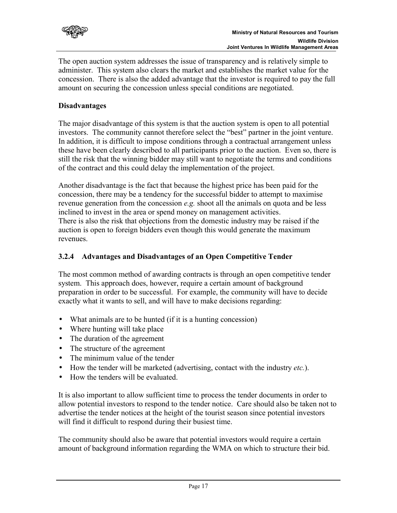

The open auction system addresses the issue of transparency and is relatively simple to administer. This system also clears the market and establishes the market value for the concession. There is also the added advantage that the investor is required to pay the full amount on securing the concession unless special conditions are negotiated.

## **Disadvantages**

The major disadvantage of this system is that the auction system is open to all potential investors. The community cannot therefore select the "best" partner in the joint venture. In addition, it is difficult to impose conditions through a contractual arrangement unless these have been clearly described to all participants prior to the auction. Even so, there is still the risk that the winning bidder may still want to negotiate the terms and conditions of the contract and this could delay the implementation of the project.

Another disadvantage is the fact that because the highest price has been paid for the concession, there may be a tendency for the successful bidder to attempt to maximise revenue generation from the concession *e.g.* shoot all the animals on quota and be less inclined to invest in the area or spend money on management activities. There is also the risk that objections from the domestic industry may be raised if the auction is open to foreign bidders even though this would generate the maximum revenues.

## **3.2.4 Advantages and Disadvantages of an Open Competitive Tender**

The most common method of awarding contracts is through an open competitive tender system. This approach does, however, require a certain amount of background preparation in order to be successful. For example, the community will have to decide exactly what it wants to sell, and will have to make decisions regarding:

- What animals are to be hunted (if it is a hunting concession)
- Where hunting will take place
- The duration of the agreement
- The structure of the agreement
- The minimum value of the tender
- How the tender will be marketed (advertising, contact with the industry *etc.*).
- How the tenders will be evaluated.

It is also important to allow sufficient time to process the tender documents in order to allow potential investors to respond to the tender notice. Care should also be taken not to advertise the tender notices at the height of the tourist season since potential investors will find it difficult to respond during their busiest time.

The community should also be aware that potential investors would require a certain amount of background information regarding the WMA on which to structure their bid.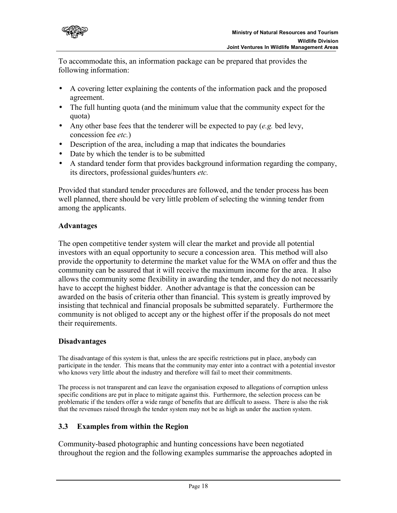

To accommodate this, an information package can be prepared that provides the following information:

- A covering letter explaining the contents of the information pack and the proposed agreement.
- The full hunting quota (and the minimum value that the community expect for the quota)
- Any other base fees that the tenderer will be expected to pay (*e.g.* bed levy, concession fee *etc.*)
- Description of the area, including a map that indicates the boundaries
- Date by which the tender is to be submitted
- A standard tender form that provides background information regarding the company, its directors, professional guides/hunters *etc.*

Provided that standard tender procedures are followed, and the tender process has been well planned, there should be very little problem of selecting the winning tender from among the applicants.

## **Advantages**

The open competitive tender system will clear the market and provide all potential investors with an equal opportunity to secure a concession area. This method will also provide the opportunity to determine the market value for the WMA on offer and thus the community can be assured that it will receive the maximum income for the area. It also allows the community some flexibility in awarding the tender, and they do not necessarily have to accept the highest bidder. Another advantage is that the concession can be awarded on the basis of criteria other than financial. This system is greatly improved by insisting that technical and financial proposals be submitted separately. Furthermore the community is not obliged to accept any or the highest offer if the proposals do not meet their requirements.

## **Disadvantages**

The disadvantage of this system is that, unless the are specific restrictions put in place, anybody can participate in the tender. This means that the community may enter into a contract with a potential investor who knows very little about the industry and therefore will fail to meet their commitments.

The process is not transparent and can leave the organisation exposed to allegations of corruption unless specific conditions are put in place to mitigate against this. Furthermore, the selection process can be problematic if the tenders offer a wide range of benefits that are difficult to assess. There is also the risk that the revenues raised through the tender system may not be as high as under the auction system.

## **3.3 Examples from within the Region**

Community-based photographic and hunting concessions have been negotiated throughout the region and the following examples summarise the approaches adopted in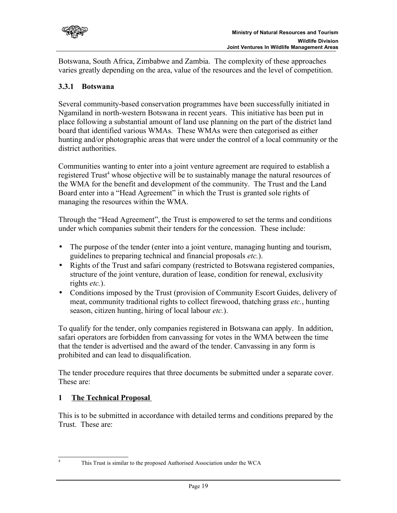

Botswana, South Africa, Zimbabwe and Zambia. The complexity of these approaches varies greatly depending on the area, value of the resources and the level of competition.

## **3.3.1 Botswana**

Several community-based conservation programmes have been successfully initiated in Ngamiland in north-western Botswana in recent years. This initiative has been put in place following a substantial amount of land use planning on the part of the district land board that identified various WMAs. These WMAs were then categorised as either hunting and/or photographic areas that were under the control of a local community or the district authorities.

Communities wanting to enter into a joint venture agreement are required to establish a registered Trust<sup>4</sup> whose objective will be to sustainably manage the natural resources of the WMA for the benefit and development of the community. The Trust and the Land Board enter into a "Head Agreement" in which the Trust is granted sole rights of managing the resources within the WMA.

Through the "Head Agreement", the Trust is empowered to set the terms and conditions under which companies submit their tenders for the concession. These include:

- The purpose of the tender (enter into a joint venture, managing hunting and tourism, guidelines to preparing technical and financial proposals *etc.*).
- Rights of the Trust and safari company (restricted to Botswana registered companies, structure of the joint venture, duration of lease, condition for renewal, exclusivity rights *etc.*).
- Conditions imposed by the Trust (provision of Community Escort Guides, delivery of meat, community traditional rights to collect firewood, thatching grass *etc.*, hunting season, citizen hunting, hiring of local labour *etc.*).

To qualify for the tender, only companies registered in Botswana can apply. In addition, safari operators are forbidden from canvassing for votes in the WMA between the time that the tender is advertised and the award of the tender. Canvassing in any form is prohibited and can lead to disqualification.

The tender procedure requires that three documents be submitted under a separate cover. These are:

## **1 The Technical Proposal**

This is to be submitted in accordance with detailed terms and conditions prepared by the Trust. These are:

<sup>4</sup> This Trust is similar to the proposed Authorised Association under the WCA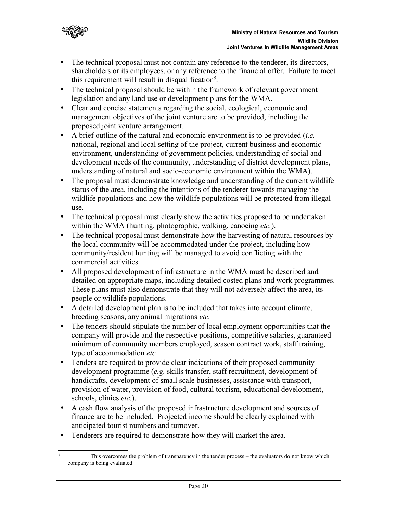

- The technical proposal must not contain any reference to the tenderer, its directors, shareholders or its employees, or any reference to the financial offer. Failure to meet this requirement will result in disqualification<sup>5</sup>.
- The technical proposal should be within the framework of relevant government legislation and any land use or development plans for the WMA.
- Clear and concise statements regarding the social, ecological, economic and management objectives of the joint venture are to be provided, including the proposed joint venture arrangement.
- A brief outline of the natural and economic environment is to be provided (*i.e.* national, regional and local setting of the project, current business and economic environment, understanding of government policies, understanding of social and development needs of the community, understanding of district development plans, understanding of natural and socio-economic environment within the WMA).
- The proposal must demonstrate knowledge and understanding of the current wildlife status of the area, including the intentions of the tenderer towards managing the wildlife populations and how the wildlife populations will be protected from illegal use.
- The technical proposal must clearly show the activities proposed to be undertaken within the WMA (hunting, photographic, walking, canoeing *etc.*).
- The technical proposal must demonstrate how the harvesting of natural resources by the local community will be accommodated under the project, including how community/resident hunting will be managed to avoid conflicting with the commercial activities.
- All proposed development of infrastructure in the WMA must be described and detailed on appropriate maps, including detailed costed plans and work programmes. These plans must also demonstrate that they will not adversely affect the area, its people or wildlife populations.
- A detailed development plan is to be included that takes into account climate, breeding seasons, any animal migrations *etc.*
- The tenders should stipulate the number of local employment opportunities that the company will provide and the respective positions, competitive salaries, guaranteed minimum of community members employed, season contract work, staff training, type of accommodation *etc.*
- Tenders are required to provide clear indications of their proposed community development programme (*e.g.* skills transfer, staff recruitment, development of handicrafts, development of small scale businesses, assistance with transport, provision of water, provision of food, cultural tourism, educational development, schools, clinics *etc.*).
- A cash flow analysis of the proposed infrastructure development and sources of finance are to be included. Projected income should be clearly explained with anticipated tourist numbers and turnover.
- Tenderers are required to demonstrate how they will market the area.

<sup>&</sup>lt;sup>5</sup> This overcomes the problem of transparency in the tender process – the evaluators do not know which company is being evaluated.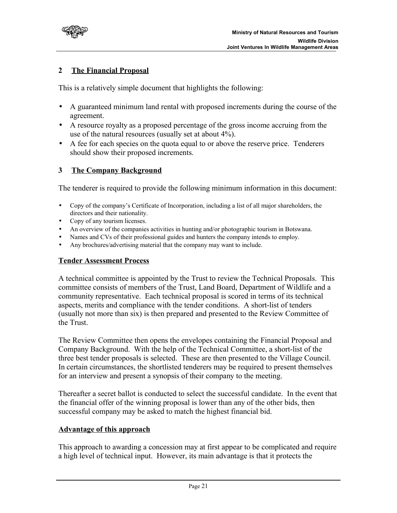

## **2 The Financial Proposal**

This is a relatively simple document that highlights the following:

- A guaranteed minimum land rental with proposed increments during the course of the agreement.
- A resource royalty as a proposed percentage of the gross income accruing from the use of the natural resources (usually set at about 4%).
- A fee for each species on the quota equal to or above the reserve price. Tenderers should show their proposed increments.

## **3 The Company Background**

The tenderer is required to provide the following minimum information in this document:

- Copy of the company's Certificate of Incorporation, including a list of all major shareholders, the directors and their nationality.
- Copy of any tourism licenses.
- An overview of the companies activities in hunting and/or photographic tourism in Botswana.
- Names and CVs of their professional guides and hunters the company intends to employ.
- Any brochures/advertising material that the company may want to include.

### **Tender Assessment Process**

A technical committee is appointed by the Trust to review the Technical Proposals. This committee consists of members of the Trust, Land Board, Department of Wildlife and a community representative. Each technical proposal is scored in terms of its technical aspects, merits and compliance with the tender conditions. A short-list of tenders (usually not more than six) is then prepared and presented to the Review Committee of the Trust.

The Review Committee then opens the envelopes containing the Financial Proposal and Company Background. With the help of the Technical Committee, a short-list of the three best tender proposals is selected. These are then presented to the Village Council. In certain circumstances, the shortlisted tenderers may be required to present themselves for an interview and present a synopsis of their company to the meeting.

Thereafter a secret ballot is conducted to select the successful candidate. In the event that the financial offer of the winning proposal is lower than any of the other bids, then successful company may be asked to match the highest financial bid.

#### **Advantage of this approach**

This approach to awarding a concession may at first appear to be complicated and require a high level of technical input. However, its main advantage is that it protects the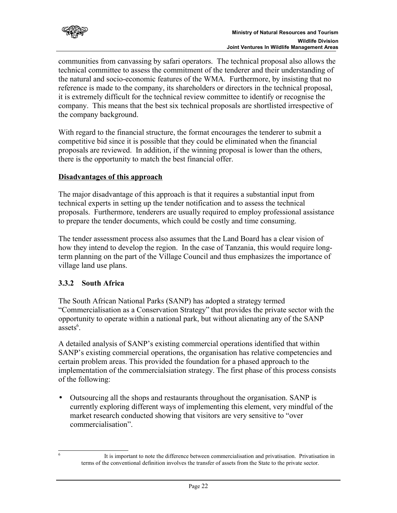

communities from canvassing by safari operators. The technical proposal also allows the technical committee to assess the commitment of the tenderer and their understanding of the natural and socio-economic features of the WMA. Furthermore, by insisting that no reference is made to the company, its shareholders or directors in the technical proposal, it is extremely difficult for the technical review committee to identify or recognise the company. This means that the best six technical proposals are shortlisted irrespective of the company background.

With regard to the financial structure, the format encourages the tenderer to submit a competitive bid since it is possible that they could be eliminated when the financial proposals are reviewed. In addition, if the winning proposal is lower than the others, there is the opportunity to match the best financial offer.

## **Disadvantages of this approach**

The major disadvantage of this approach is that it requires a substantial input from technical experts in setting up the tender notification and to assess the technical proposals. Furthermore, tenderers are usually required to employ professional assistance to prepare the tender documents, which could be costly and time consuming.

The tender assessment process also assumes that the Land Board has a clear vision of how they intend to develop the region. In the case of Tanzania, this would require longterm planning on the part of the Village Council and thus emphasizes the importance of village land use plans.

## **3.3.2 South Africa**

The South African National Parks (SANP) has adopted a strategy termed "Commercialisation as a Conservation Strategy" that provides the private sector with the opportunity to operate within a national park, but without alienating any of the SANP assets 6 .

A detailed analysis of SANP's existing commercial operations identified that within SANP's existing commercial operations, the organisation has relative competencies and certain problem areas. This provided the foundation for a phased approach to the implementation of the commercialsiation strategy. The first phase of this process consists of the following:

• Outsourcing all the shops and restaurants throughout the organisation. SANP is currently exploring different ways of implementing this element, very mindful of the market research conducted showing that visitors are very sensitive to "over commercialisation".

<sup>6</sup>

It is important to note the difference between commercialisation and privatisation. Privatisation in terms of the conventional definition involves the transfer of assets from the State to the private sector.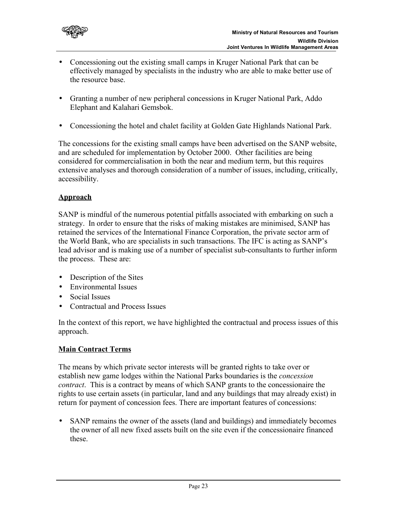

- Concessioning out the existing small camps in Kruger National Park that can be effectively managed by specialists in the industry who are able to make better use of the resource base.
- Granting a number of new peripheral concessions in Kruger National Park, Addo Elephant and Kalahari Gemsbok.
- Concessioning the hotel and chalet facility at Golden Gate Highlands National Park.

The concessions for the existing small camps have been advertised on the SANP website, and are scheduled for implementation by October 2000. Other facilities are being considered for commercialisation in both the near and medium term, but this requires extensive analyses and thorough consideration of a number of issues, including, critically, accessibility.

## **Approach**

SANP is mindful of the numerous potential pitfalls associated with embarking on such a strategy. In order to ensure that the risks of making mistakes are minimised, SANP has retained the services of the International Finance Corporation, the private sector arm of the World Bank, who are specialists in such transactions. The IFC is acting as SANP's lead advisor and is making use of a number of specialist sub-consultants to further inform the process. These are:

- Description of the Sites
- Environmental Issues
- Social Issues
- Contractual and Process Issues

In the context of this report, we have highlighted the contractual and process issues of this approach.

## **Main Contract Terms**

The means by which private sector interests will be granted rights to take over or establish new game lodges within the National Parks boundaries is the *concession contract*. This is a contract by means of which SANP grants to the concessionaire the rights to use certain assets (in particular, land and any buildings that may already exist) in return for payment of concession fees. There are important features of concessions:

• SANP remains the owner of the assets (land and buildings) and immediately becomes the owner of all new fixed assets built on the site even if the concessionaire financed these.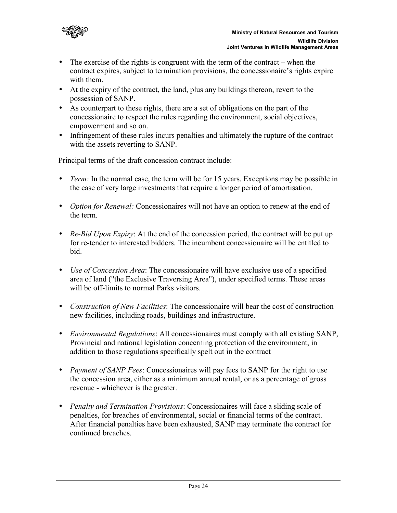

- The exercise of the rights is congruent with the term of the contract when the contract expires, subject to termination provisions, the concessionaire's rights expire with them.
- At the expiry of the contract, the land, plus any buildings thereon, revert to the possession of SANP.
- As counterpart to these rights, there are a set of obligations on the part of the concessionaire to respect the rules regarding the environment, social objectives, empowerment and so on.
- Infringement of these rules incurs penalties and ultimately the rupture of the contract with the assets reverting to SANP.

Principal terms of the draft concession contract include:

- *Term:* In the normal case, the term will be for 15 years. Exceptions may be possible in the case of very large investments that require a longer period of amortisation.
- *Option for Renewal:* Concessionaires will not have an option to renew at the end of the term.
- *Re-Bid Upon Expiry*: At the end of the concession period, the contract will be put up for re-tender to interested bidders. The incumbent concessionaire will be entitled to bid.
- *Use of Concession Area*: The concessionaire will have exclusive use of a specified area of land ("the Exclusive Traversing Area"), under specified terms. These areas will be off-limits to normal Parks visitors.
- *Construction of New Facilities*: The concessionaire will bear the cost of construction new facilities, including roads, buildings and infrastructure.
- *Environmental Regulations*: All concessionaires must comply with all existing SANP, Provincial and national legislation concerning protection of the environment, in addition to those regulations specifically spelt out in the contract
- *Payment of SANP Fees*: Concessionaires will pay fees to SANP for the right to use the concession area, either as a minimum annual rental, or as a percentage of gross revenue - whichever is the greater.
- *Penalty and Termination Provisions*: Concessionaires will face a sliding scale of penalties, for breaches of environmental, social or financial terms of the contract. After financial penalties have been exhausted, SANP may terminate the contract for continued breaches.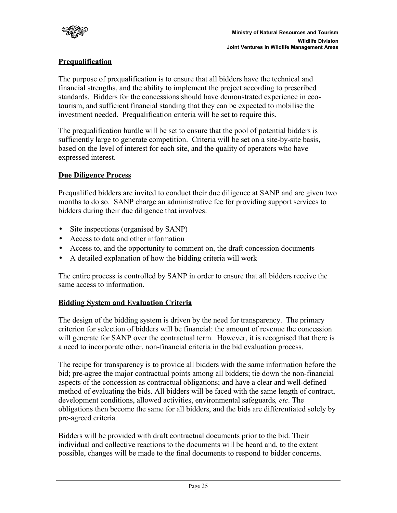

## **Prequalification**

The purpose of prequalification is to ensure that all bidders have the technical and financial strengths, and the ability to implement the project according to prescribed standards. Bidders for the concessions should have demonstrated experience in ecotourism, and sufficient financial standing that they can be expected to mobilise the investment needed. Prequalification criteria will be set to require this.

The prequalification hurdle will be set to ensure that the pool of potential bidders is sufficiently large to generate competition. Criteria will be set on a site-by-site basis, based on the level of interest for each site, and the quality of operators who have expressed interest.

## **Due Diligence Process**

Prequalified bidders are invited to conduct their due diligence at SANP and are given two months to do so. SANP charge an administrative fee for providing support services to bidders during their due diligence that involves:

- Site inspections (organised by SANP)
- Access to data and other information
- Access to, and the opportunity to comment on, the draft concession documents
- A detailed explanation of how the bidding criteria will work

The entire process is controlled by SANP in order to ensure that all bidders receive the same access to information.

## **Bidding System and Evaluation Criteria**

The design of the bidding system is driven by the need for transparency. The primary criterion for selection of bidders will be financial: the amount of revenue the concession will generate for SANP over the contractual term. However, it is recognised that there is a need to incorporate other, non-financial criteria in the bid evaluation process.

The recipe for transparency is to provide all bidders with the same information before the bid; pre-agree the major contractual points among all bidders; tie down the non-financial aspects of the concession as contractual obligations; and have a clear and well-defined method of evaluating the bids. All bidders will be faced with the same length of contract, development conditions, allowed activities, environmental safeguards*, etc*. The obligations then become the same for all bidders, and the bids are differentiated solely by pre-agreed criteria.

Bidders will be provided with draft contractual documents prior to the bid. Their individual and collective reactions to the documents will be heard and, to the extent possible, changes will be made to the final documents to respond to bidder concerns.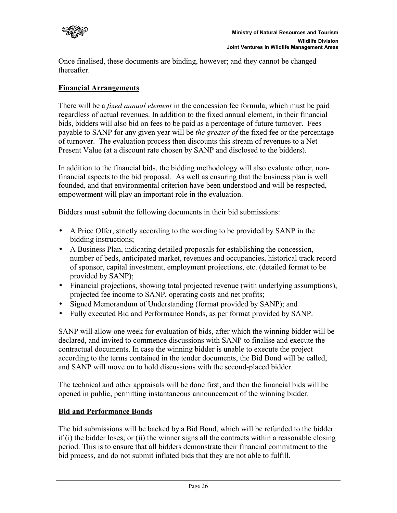

Once finalised, these documents are binding, however; and they cannot be changed thereafter.

### **Financial Arrangements**

There will be a *fixed annual element* in the concession fee formula, which must be paid regardless of actual revenues. In addition to the fixed annual element, in their financial bids, bidders will also bid on fees to be paid as a percentage of future turnover. Fees payable to SANP for any given year will be *the greater of* the fixed fee or the percentage of turnover. The evaluation process then discounts this stream of revenues to a Net Present Value (at a discount rate chosen by SANP and disclosed to the bidders).

In addition to the financial bids, the bidding methodology will also evaluate other, nonfinancial aspects to the bid proposal. As well as ensuring that the business plan is well founded, and that environmental criterion have been understood and will be respected, empowerment will play an important role in the evaluation.

Bidders must submit the following documents in their bid submissions:

- A Price Offer, strictly according to the wording to be provided by SANP in the bidding instructions;
- A Business Plan, indicating detailed proposals for establishing the concession, number of beds, anticipated market, revenues and occupancies, historical track record of sponsor, capital investment, employment projections, etc. (detailed format to be provided by SANP);
- Financial projections, showing total projected revenue (with underlying assumptions), projected fee income to SANP, operating costs and net profits;
- Signed Memorandum of Understanding (format provided by SANP); and
- Fully executed Bid and Performance Bonds, as per format provided by SANP.

SANP will allow one week for evaluation of bids, after which the winning bidder will be declared, and invited to commence discussions with SANP to finalise and execute the contractual documents. In case the winning bidder is unable to execute the project according to the terms contained in the tender documents, the Bid Bond will be called, and SANP will move on to hold discussions with the second-placed bidder.

The technical and other appraisals will be done first, and then the financial bids will be opened in public, permitting instantaneous announcement of the winning bidder.

## **Bid and Performance Bonds**

The bid submissions will be backed by a Bid Bond, which will be refunded to the bidder if (i) the bidder loses; or (ii) the winner signs all the contracts within a reasonable closing period. This is to ensure that all bidders demonstrate their financial commitment to the bid process, and do not submit inflated bids that they are not able to fulfill.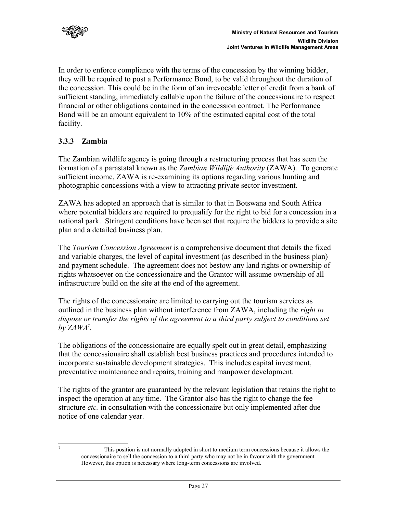

In order to enforce compliance with the terms of the concession by the winning bidder, they will be required to post a Performance Bond, to be valid throughout the duration of the concession. This could be in the form of an irrevocable letter of credit from a bank of sufficient standing, immediately callable upon the failure of the concessionaire to respect financial or other obligations contained in the concession contract. The Performance Bond will be an amount equivalent to 10% of the estimated capital cost of the total facility.

# **3.3.3 Zambia**

The Zambian wildlife agency is going through a restructuring process that has seen the formation of a parastatal known as the *Zambian Wildlife Authority* (ZAWA). To generate sufficient income, ZAWA is re-examining its options regarding various hunting and photographic concessions with a view to attracting private sector investment.

ZAWA has adopted an approach that is similar to that in Botswana and South Africa where potential bidders are required to prequalify for the right to bid for a concession in a national park. Stringent conditions have been set that require the bidders to provide a site plan and a detailed business plan.

The *Tourism Concession Agreement* is a comprehensive document that details the fixed and variable charges, the level of capital investment (as described in the business plan) and payment schedule. The agreement does not bestow any land rights or ownership of rights whatsoever on the concessionaire and the Grantor will assume ownership of all infrastructure build on the site at the end of the agreement.

The rights of the concessionaire are limited to carrying out the tourism services as outlined in the business plan without interference from ZAWA, including the *right to dispose or transfer the rights of the agreement to a third party subject to conditions set by ZAWA<sup>7</sup> .*

The obligations of the concessionaire are equally spelt out in great detail, emphasizing that the concessionaire shall establish best business practices and procedures intended to incorporate sustainable development strategies. This includes capital investment, preventative maintenance and repairs, training and manpower development.

The rights of the grantor are guaranteed by the relevant legislation that retains the right to inspect the operation at any time. The Grantor also has the right to change the fee structure *etc.* in consultation with the concessionaire but only implemented after due notice of one calendar year.

<sup>7</sup> This position is not normally adopted in short to medium term concessions because it allows the concessionaire to sell the concession to a third party who may not be in favour with the government. However, this option is necessary where long-term concessions are involved.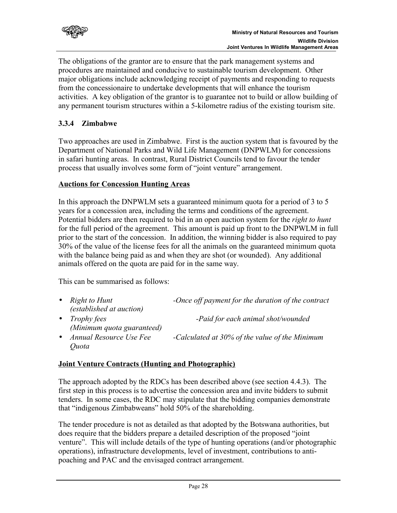

The obligations of the grantor are to ensure that the park management systems and procedures are maintained and conducive to sustainable tourism development. Other major obligations include acknowledging receipt of payments and responding to requests from the concessionaire to undertake developments that will enhance the tourism activities. A key obligation of the grantor is to guarantee not to build or allow building of any permanent tourism structures within a 5-kilometre radius of the existing tourism site.

# **3.3.4 Zimbabwe**

Two approaches are used in Zimbabwe. First is the auction system that is favoured by the Department of National Parks and Wild Life Management (DNPWLM) for concessions in safari hunting areas. In contrast, Rural District Councils tend to favour the tender process that usually involves some form of "joint venture" arrangement.

### **Auctions for Concession Hunting Areas**

In this approach the DNPWLM sets a guaranteed minimum quota for a period of 3 to 5 years for a concession area, including the terms and conditions of the agreement. Potential bidders are then required to bid in an open auction system for the *right to hunt* for the full period of the agreement. This amount is paid up front to the DNPWLM in full prior to the start of the concession. In addition, the winning bidder is also required to pay 30% of the value of the license fees for all the animals on the guaranteed minimum quota with the balance being paid as and when they are shot (or wounded). Any additional animals offered on the quota are paid for in the same way.

This can be summarised as follows:

|           | • $Right$ to Hunt          | -Once off payment for the duration of the contract |
|-----------|----------------------------|----------------------------------------------------|
|           | (established at auction)   |                                                    |
| $\bullet$ | <i>Trophy fees</i>         | -Paid for each animal shot/wounded                 |
|           | (Minimum quota guaranteed) |                                                    |
| $\bullet$ | Annual Resource Use Fee    | -Calculated at 30% of the value of the Minimum     |
|           | Ouota                      |                                                    |

## **Joint Venture Contracts (Hunting and Photographic)**

The approach adopted by the RDCs has been described above (see section 4.4.3). The first step in this process is to advertise the concession area and invite bidders to submit tenders. In some cases, the RDC may stipulate that the bidding companies demonstrate that "indigenous Zimbabweans" hold 50% of the shareholding.

The tender procedure is not as detailed as that adopted by the Botswana authorities, but does require that the bidders prepare a detailed description of the proposed "joint venture". This will include details of the type of hunting operations (and/or photographic operations), infrastructure developments, level of investment, contributions to antipoaching and PAC and the envisaged contract arrangement.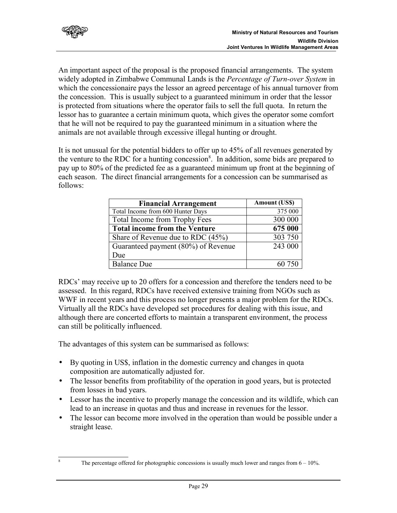

An important aspect of the proposal is the proposed financial arrangements. The system widely adopted in Zimbabwe Communal Lands is the *Percentage of Turn-over System* in which the concessionaire pays the lessor an agreed percentage of his annual turnover from the concession. This is usually subject to a guaranteed minimum in order that the lessor is protected from situations where the operator fails to sell the full quota. In return the lessor has to guarantee a certain minimum quota, which gives the operator some comfort that he will not be required to pay the guaranteed minimum in a situation where the animals are not available through excessive illegal hunting or drought.

It is not unusual for the potential bidders to offer up to 45% of all revenues generated by the venture to the RDC for a hunting concession<sup>8</sup>. In addition, some bids are prepared to pay up to 80% of the predicted fee as a guaranteed minimum up front at the beginning of each season. The direct financial arrangements for a concession can be summarised as follows:

| <b>Financial Arrangement</b>         | <b>Amount (US\$)</b> |
|--------------------------------------|----------------------|
| Total Income from 600 Hunter Days    | 375 000              |
| Total Income from Trophy Fees        | 300 000              |
| <b>Total income from the Venture</b> | 675 000              |
| Share of Revenue due to RDC (45%)    | 303 750              |
| Guaranteed payment (80%) of Revenue  | 243 000              |
| Due                                  |                      |
| <b>Balance Due</b>                   | 60 750               |

RDCs' may receive up to 20 offers for a concession and therefore the tenders need to be assessed. In this regard, RDCs have received extensive training from NGOs such as WWF in recent years and this process no longer presents a major problem for the RDCs. Virtually all the RDCs have developed set procedures for dealing with this issue, and although there are concerted efforts to maintain a transparent environment, the process can still be politically influenced.

The advantages of this system can be summarised as follows:

- By quoting in US\$, inflation in the domestic currency and changes in quota composition are automatically adjusted for.
- The lessor benefits from profitability of the operation in good years, but is protected from losses in bad years.
- Lessor has the incentive to properly manage the concession and its wildlife, which can lead to an increase in quotas and thus and increase in revenues for the lessor.
- The lessor can become more involved in the operation than would be possible under a straight lease.

The percentage offered for photographic concessions is usually much lower and ranges from  $6 - 10\%$ .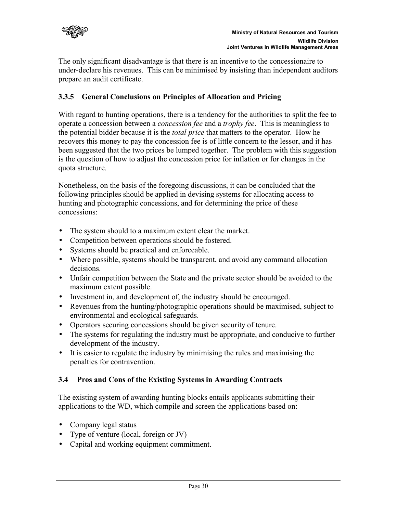

The only significant disadvantage is that there is an incentive to the concessionaire to under-declare his revenues. This can be minimised by insisting than independent auditors prepare an audit certificate.

## **3.3.5 General Conclusions on Principles of Allocation and Pricing**

With regard to hunting operations, there is a tendency for the authorities to split the fee to operate a concession between a *concession fee* and a *trophy fee*. This is meaningless to the potential bidder because it is the *total price* that matters to the operator. How he recovers this money to pay the concession fee is of little concern to the lessor, and it has been suggested that the two prices be lumped together. The problem with this suggestion is the question of how to adjust the concession price for inflation or for changes in the quota structure.

Nonetheless, on the basis of the foregoing discussions, it can be concluded that the following principles should be applied in devising systems for allocating access to hunting and photographic concessions, and for determining the price of these concessions:

- The system should to a maximum extent clear the market.
- Competition between operations should be fostered.
- Systems should be practical and enforceable.
- Where possible, systems should be transparent, and avoid any command allocation decisions.
- Unfair competition between the State and the private sector should be avoided to the maximum extent possible.
- Investment in, and development of, the industry should be encouraged.
- Revenues from the hunting/photographic operations should be maximised, subject to environmental and ecological safeguards.
- Operators securing concessions should be given security of tenure.
- The systems for regulating the industry must be appropriate, and conducive to further development of the industry.
- It is easier to regulate the industry by minimising the rules and maximising the penalties for contravention.

# **3.4 Pros and Cons of the Existing Systems in Awarding Contracts**

The existing system of awarding hunting blocks entails applicants submitting their applications to the WD, which compile and screen the applications based on:

- Company legal status
- Type of venture (local, foreign or JV)
- Capital and working equipment commitment.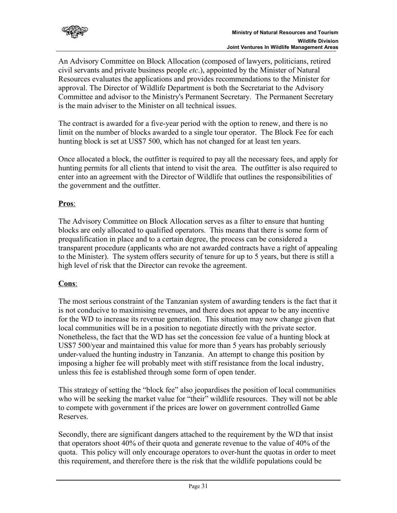

An Advisory Committee on Block Allocation (composed of lawyers, politicians, retired civil servants and private business people *etc*.), appointed by the Minister of Natural Resources evaluates the applications and provides recommendations to the Minister for approval. The Director of Wildlife Department is both the Secretariat to the Advisory Committee and advisor to the Ministry's Permanent Secretary. The Permanent Secretary is the main adviser to the Minister on all technical issues.

The contract is awarded for a five-year period with the option to renew, and there is no limit on the number of blocks awarded to a single tour operator. The Block Fee for each hunting block is set at US\$7 500, which has not changed for at least ten years.

Once allocated a block, the outfitter is required to pay all the necessary fees, and apply for hunting permits for all clients that intend to visit the area. The outfitter is also required to enter into an agreement with the Director of Wildlife that outlines the responsibilities of the government and the outfitter.

## **Pros**:

The Advisory Committee on Block Allocation serves as a filter to ensure that hunting blocks are only allocated to qualified operators. This means that there is some form of prequalification in place and to a certain degree, the process can be considered a transparent procedure (applicants who are not awarded contracts have a right of appealing to the Minister). The system offers security of tenure for up to 5 years, but there is still a high level of risk that the Director can revoke the agreement.

## **Cons**:

The most serious constraint of the Tanzanian system of awarding tenders is the fact that it is not conducive to maximising revenues, and there does not appear to be any incentive for the WD to increase its revenue generation. This situation may now change given that local communities will be in a position to negotiate directly with the private sector. Nonetheless, the fact that the WD has set the concession fee value of a hunting block at US\$7 500/year and maintained this value for more than 5 years has probably seriously under-valued the hunting industry in Tanzania. An attempt to change this position by imposing a higher fee will probably meet with stiff resistance from the local industry, unless this fee is established through some form of open tender.

This strategy of setting the "block fee" also jeopardises the position of local communities who will be seeking the market value for "their" wildlife resources. They will not be able to compete with government if the prices are lower on government controlled Game Reserves.

Secondly, there are significant dangers attached to the requirement by the WD that insist that operators shoot 40% of their quota and generate revenue to the value of 40% of the quota. This policy will only encourage operators to over-hunt the quotas in order to meet this requirement, and therefore there is the risk that the wildlife populations could be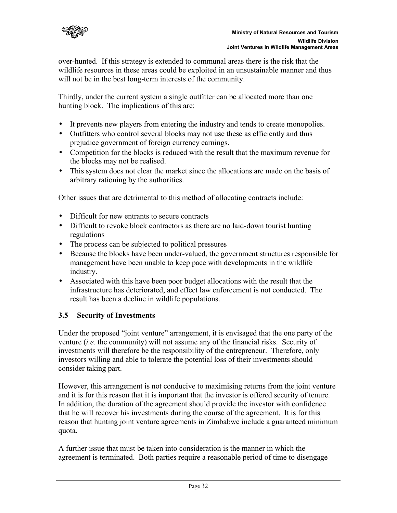

over-hunted. If this strategy is extended to communal areas there is the risk that the wildlife resources in these areas could be exploited in an unsustainable manner and thus will not be in the best long-term interests of the community.

Thirdly, under the current system a single outfitter can be allocated more than one hunting block. The implications of this are:

- It prevents new players from entering the industry and tends to create monopolies.
- Outfitters who control several blocks may not use these as efficiently and thus prejudice government of foreign currency earnings.
- Competition for the blocks is reduced with the result that the maximum revenue for the blocks may not be realised.
- This system does not clear the market since the allocations are made on the basis of arbitrary rationing by the authorities.

Other issues that are detrimental to this method of allocating contracts include:

- Difficult for new entrants to secure contracts
- Difficult to revoke block contractors as there are no laid-down tourist hunting regulations
- The process can be subjected to political pressures
- Because the blocks have been under-valued, the government structures responsible for management have been unable to keep pace with developments in the wildlife industry.
- Associated with this have been poor budget allocations with the result that the infrastructure has deteriorated, and effect law enforcement is not conducted. The result has been a decline in wildlife populations.

# **3.5 Security of Investments**

Under the proposed "joint venture" arrangement, it is envisaged that the one party of the venture (*i.e.* the community) will not assume any of the financial risks. Security of investments will therefore be the responsibility of the entrepreneur. Therefore, only investors willing and able to tolerate the potential loss of their investments should consider taking part.

However, this arrangement is not conducive to maximising returns from the joint venture and it is for this reason that it is important that the investor is offered security of tenure. In addition, the duration of the agreement should provide the investor with confidence that he will recover his investments during the course of the agreement. It is for this reason that hunting joint venture agreements in Zimbabwe include a guaranteed minimum quota.

A further issue that must be taken into consideration is the manner in which the agreement is terminated. Both parties require a reasonable period of time to disengage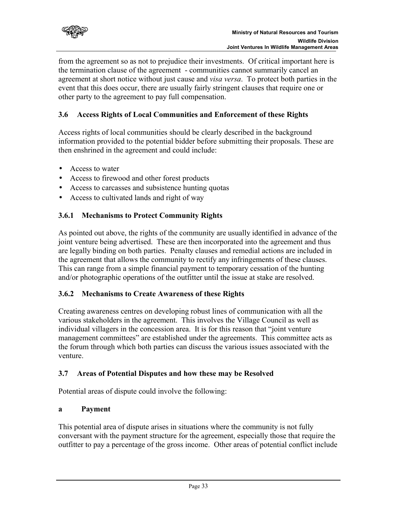

from the agreement so as not to prejudice their investments. Of critical important here is the termination clause of the agreement - communities cannot summarily cancel an agreement at short notice without just cause and *visa versa*. To protect both parties in the event that this does occur, there are usually fairly stringent clauses that require one or other party to the agreement to pay full compensation.

## **3.6 Access Rights of Local Communities and Enforcement of these Rights**

Access rights of local communities should be clearly described in the background information provided to the potential bidder before submitting their proposals. These are then enshrined in the agreement and could include:

- Access to water
- Access to firewood and other forest products
- Access to carcasses and subsistence hunting quotas
- Access to cultivated lands and right of way

## **3.6.1 Mechanisms to Protect Community Rights**

As pointed out above, the rights of the community are usually identified in advance of the joint venture being advertised. These are then incorporated into the agreement and thus are legally binding on both parties. Penalty clauses and remedial actions are included in the agreement that allows the community to rectify any infringements of these clauses. This can range from a simple financial payment to temporary cessation of the hunting and/or photographic operations of the outfitter until the issue at stake are resolved.

#### **3.6.2 Mechanisms to Create Awareness of these Rights**

Creating awareness centres on developing robust lines of communication with all the various stakeholders in the agreement. This involves the Village Council as well as individual villagers in the concession area. It is for this reason that "joint venture management committees" are established under the agreements. This committee acts as the forum through which both parties can discuss the various issues associated with the venture.

## **3.7 Areas of Potential Disputes and how these may be Resolved**

Potential areas of dispute could involve the following:

#### **a Payment**

This potential area of dispute arises in situations where the community is not fully conversant with the payment structure for the agreement, especially those that require the outfitter to pay a percentage of the gross income. Other areas of potential conflict include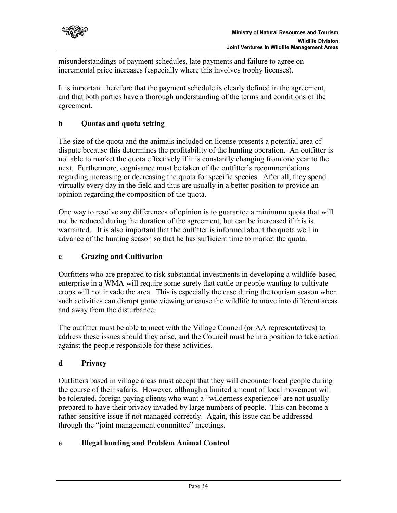

misunderstandings of payment schedules, late payments and failure to agree on incremental price increases (especially where this involves trophy licenses).

It is important therefore that the payment schedule is clearly defined in the agreement, and that both parties have a thorough understanding of the terms and conditions of the agreement.

## **b Quotas and quota setting**

The size of the quota and the animals included on license presents a potential area of dispute because this determines the profitability of the hunting operation. An outfitter is not able to market the quota effectively if it is constantly changing from one year to the next. Furthermore, cognisance must be taken of the outfitter's recommendations regarding increasing or decreasing the quota for specific species. After all, they spend virtually every day in the field and thus are usually in a better position to provide an opinion regarding the composition of the quota.

One way to resolve any differences of opinion is to guarantee a minimum quota that will not be reduced during the duration of the agreement, but can be increased if this is warranted. It is also important that the outfitter is informed about the quota well in advance of the hunting season so that he has sufficient time to market the quota.

## **c Grazing and Cultivation**

Outfitters who are prepared to risk substantial investments in developing a wildlife-based enterprise in a WMA will require some surety that cattle or people wanting to cultivate crops will not invade the area. This is especially the case during the tourism season when such activities can disrupt game viewing or cause the wildlife to move into different areas and away from the disturbance.

The outfitter must be able to meet with the Village Council (or AA representatives) to address these issues should they arise, and the Council must be in a position to take action against the people responsible for these activities.

# **d Privacy**

Outfitters based in village areas must accept that they will encounter local people during the course of their safaris. However, although a limited amount of local movement will be tolerated, foreign paying clients who want a "wilderness experience" are not usually prepared to have their privacy invaded by large numbers of people. This can become a rather sensitive issue if not managed correctly. Again, this issue can be addressed through the "joint management committee" meetings.

## **e Illegal hunting and Problem Animal Control**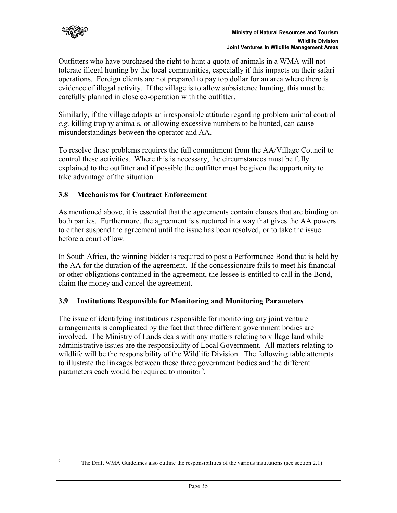

Outfitters who have purchased the right to hunt a quota of animals in a WMA will not tolerate illegal hunting by the local communities, especially if this impacts on their safari operations. Foreign clients are not prepared to pay top dollar for an area where there is evidence of illegal activity. If the village is to allow subsistence hunting, this must be carefully planned in close co-operation with the outfitter.

Similarly, if the village adopts an irresponsible attitude regarding problem animal control *e.g.* killing trophy animals, or allowing excessive numbers to be hunted, can cause misunderstandings between the operator and AA.

To resolve these problems requires the full commitment from the AA/Village Council to control these activities. Where this is necessary, the circumstances must be fully explained to the outfitter and if possible the outfitter must be given the opportunity to take advantage of the situation.

## **3.8 Mechanisms for Contract Enforcement**

As mentioned above, it is essential that the agreements contain clauses that are binding on both parties. Furthermore, the agreement is structured in a way that gives the AA powers to either suspend the agreement until the issue has been resolved, or to take the issue before a court of law.

In South Africa, the winning bidder is required to post a Performance Bond that is held by the AA for the duration of the agreement. If the concessionaire fails to meet his financial or other obligations contained in the agreement, the lessee is entitled to call in the Bond, claim the money and cancel the agreement.

## **3.9 Institutions Responsible for Monitoring and Monitoring Parameters**

The issue of identifying institutions responsible for monitoring any joint venture arrangements is complicated by the fact that three different government bodies are involved. The Ministry of Lands deals with any matters relating to village land while administrative issues are the responsibility of Local Government. All matters relating to wildlife will be the responsibility of the Wildlife Division. The following table attempts to illustrate the linkages between these three government bodies and the different parameters each would be required to monitor<sup>9</sup>.

The Draft WMA Guidelines also outline the responsibilities of the various institutions (see section 2.1)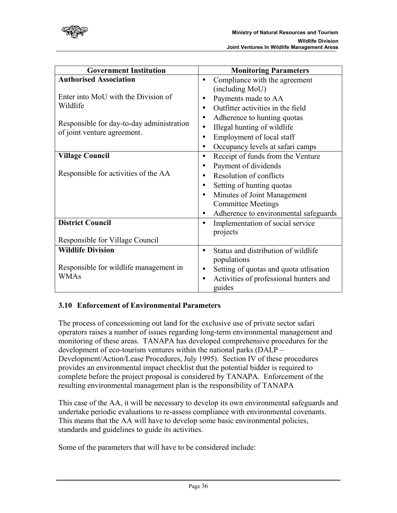

| <b>Government Institution</b>                         | <b>Monitoring Parameters</b>                                  |  |  |
|-------------------------------------------------------|---------------------------------------------------------------|--|--|
| <b>Authorised Association</b>                         | Compliance with the agreement<br>$\bullet$                    |  |  |
|                                                       | (including MoU)                                               |  |  |
| Enter into MoU with the Division of                   | Payments made to AA<br>$\bullet$                              |  |  |
| Wildlife                                              | Outfitter activities in the field<br>$\bullet$                |  |  |
|                                                       | Adherence to hunting quotas<br>$\bullet$                      |  |  |
| Responsible for day-to-day administration             | Illegal hunting of wildlife<br>$\bullet$                      |  |  |
| of joint venture agreement.                           | Employment of local staff<br>$\bullet$                        |  |  |
|                                                       | Occupancy levels at safari camps<br>$\bullet$                 |  |  |
| <b>Village Council</b>                                | Receipt of funds from the Venture<br>$\bullet$                |  |  |
|                                                       | Payment of dividends<br>$\bullet$                             |  |  |
| Responsible for activities of the AA                  | Resolution of conflicts                                       |  |  |
|                                                       | Setting of hunting quotas<br>$\bullet$                        |  |  |
|                                                       | Minutes of Joint Management<br>$\bullet$                      |  |  |
|                                                       | <b>Committee Meetings</b>                                     |  |  |
|                                                       | Adherence to environmental safeguards<br>$\bullet$            |  |  |
| <b>District Council</b>                               | Implementation of social service<br>$\bullet$                 |  |  |
|                                                       | projects                                                      |  |  |
| Responsible for Village Council                       |                                                               |  |  |
| <b>Wildlife Division</b>                              | Status and distribution of wildlife<br>$\bullet$              |  |  |
|                                                       | populations                                                   |  |  |
| Responsible for wildlife management in<br><b>WMAs</b> | Setting of quotas and quota utlisation<br>$\bullet$           |  |  |
|                                                       | Activities of professional hunters and<br>$\bullet$<br>guides |  |  |

## **3.10 Enforcement of Environmental Parameters**

The process of concessioning out land for the exclusive use of private sector safari operators raises a number of issues regarding long-term environmental management and monitoring of these areas. TANAPA has developed comprehensive procedures for the development of eco-tourism ventures within the national parks (DALP – Development/Action/Lease Procedures, July 1995). Section IV of these procedures provides an environmental impact checklist that the potential bidder is required to complete before the project proposal is considered by TANAPA. Enforcement of the resulting environmental management plan is the responsibility of TANAPA

This case of the AA, it will be necessary to develop its own environmental safeguards and undertake periodic evaluations to re-assess compliance with environmental covenants. This means that the AA will have to develop some basic environmental policies, standards and guidelines to guide its activities.

Some of the parameters that will have to be considered include: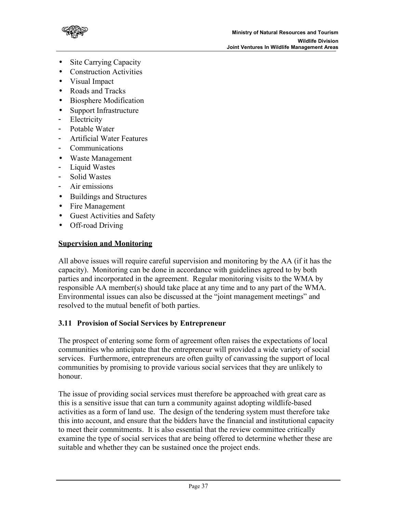

- Site Carrying Capacity
- Construction Activities
- Visual Impact
- Roads and Tracks
- Biosphere Modification
- Support Infrastructure
- Electricity
- Potable Water
- Artificial Water Features
- Communications
- Waste Management
- Liquid Wastes
- Solid Wastes
- Air emissions
- Buildings and Structures
- Fire Management
- Guest Activities and Safety
- Off-road Driving

## **Supervision and Monitoring**

All above issues will require careful supervision and monitoring by the AA (if it has the capacity). Monitoring can be done in accordance with guidelines agreed to by both parties and incorporated in the agreement. Regular monitoring visits to the WMA by responsible AA member(s) should take place at any time and to any part of the WMA. Environmental issues can also be discussed at the "joint management meetings" and resolved to the mutual benefit of both parties.

## **3.11 Provision of Social Services by Entrepreneur**

The prospect of entering some form of agreement often raises the expectations of local communities who anticipate that the entrepreneur will provided a wide variety of social services. Furthermore, entrepreneurs are often guilty of canvassing the support of local communities by promising to provide various social services that they are unlikely to honour.

The issue of providing social services must therefore be approached with great care as this is a sensitive issue that can turn a community against adopting wildlife-based activities as a form of land use. The design of the tendering system must therefore take this into account, and ensure that the bidders have the financial and institutional capacity to meet their commitments. It is also essential that the review committee critically examine the type of social services that are being offered to determine whether these are suitable and whether they can be sustained once the project ends.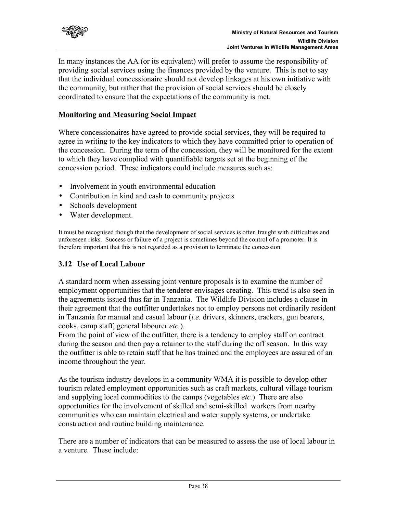

In many instances the AA (or its equivalent) will prefer to assume the responsibility of providing social services using the finances provided by the venture. This is not to say that the individual concessionaire should not develop linkages at his own initiative with the community, but rather that the provision of social services should be closely coordinated to ensure that the expectations of the community is met.

### **Monitoring and Measuring Social Impact**

Where concessionaires have agreed to provide social services, they will be required to agree in writing to the key indicators to which they have committed prior to operation of the concession. During the term of the concession, they will be monitored for the extent to which they have complied with quantifiable targets set at the beginning of the concession period. These indicators could include measures such as:

- Involvement in youth environmental education
- Contribution in kind and cash to community projects
- Schools development
- Water development.

It must be recognised though that the development of social services is often fraught with difficulties and unforeseen risks. Success or failure of a project is sometimes beyond the control of a promoter. It is therefore important that this is not regarded as a provision to terminate the concession.

#### **3.12 Use of Local Labour**

A standard norm when assessing joint venture proposals is to examine the number of employment opportunities that the tenderer envisages creating. This trend is also seen in the agreements issued thus far in Tanzania. The Wildlife Division includes a clause in their agreement that the outfitter undertakes not to employ persons not ordinarily resident in Tanzania for manual and casual labour (*i.e.* drivers, skinners, trackers, gun bearers, cooks, camp staff, general labourer *etc.*).

From the point of view of the outfitter, there is a tendency to employ staff on contract during the season and then pay a retainer to the staff during the off season. In this way the outfitter is able to retain staff that he has trained and the employees are assured of an income throughout the year.

As the tourism industry develops in a community WMA it is possible to develop other tourism related employment opportunities such as craft markets, cultural village tourism and supplying local commodities to the camps (vegetables *etc.*) There are also opportunities for the involvement of skilled and semi-skilled workers from nearby communities who can maintain electrical and water supply systems, or undertake construction and routine building maintenance.

There are a number of indicators that can be measured to assess the use of local labour in a venture. These include: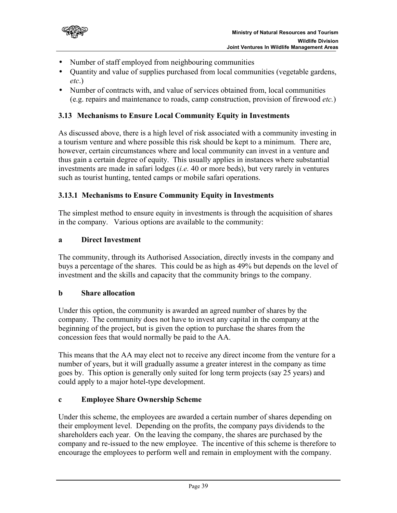

- Number of staff employed from neighbouring communities
- Ouantity and value of supplies purchased from local communities (vegetable gardens, *etc*.)
- Number of contracts with, and value of services obtained from, local communities (e.g. repairs and maintenance to roads, camp construction, provision of firewood *etc.*)

## **3.13 Mechanisms to Ensure Local Community Equity in Investments**

As discussed above, there is a high level of risk associated with a community investing in a tourism venture and where possible this risk should be kept to a minimum. There are, however, certain circumstances where and local community can invest in a venture and thus gain a certain degree of equity. This usually applies in instances where substantial investments are made in safari lodges (*i.e.* 40 or more beds), but very rarely in ventures such as tourist hunting, tented camps or mobile safari operations.

## **3.13.1 Mechanisms to Ensure Community Equity in Investments**

The simplest method to ensure equity in investments is through the acquisition of shares in the company. Various options are available to the community:

### **a Direct Investment**

The community, through its Authorised Association, directly invests in the company and buys a percentage of the shares. This could be as high as 49% but depends on the level of investment and the skills and capacity that the community brings to the company.

## **b Share allocation**

Under this option, the community is awarded an agreed number of shares by the company. The community does not have to invest any capital in the company at the beginning of the project, but is given the option to purchase the shares from the concession fees that would normally be paid to the AA.

This means that the AA may elect not to receive any direct income from the venture for a number of years, but it will gradually assume a greater interest in the company as time goes by. This option is generally only suited for long term projects (say 25 years) and could apply to a major hotel-type development.

## **c Employee Share Ownership Scheme**

Under this scheme, the employees are awarded a certain number of shares depending on their employment level. Depending on the profits, the company pays dividends to the shareholders each year. On the leaving the company, the shares are purchased by the company and re-issued to the new employee. The incentive of this scheme is therefore to encourage the employees to perform well and remain in employment with the company.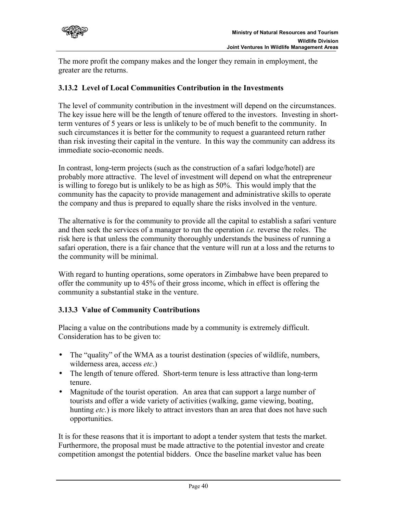

The more profit the company makes and the longer they remain in employment, the greater are the returns.

## **3.13.2 Level of Local Communities Contribution in the Investments**

The level of community contribution in the investment will depend on the circumstances. The key issue here will be the length of tenure offered to the investors. Investing in shortterm ventures of 5 years or less is unlikely to be of much benefit to the community. In such circumstances it is better for the community to request a guaranteed return rather than risk investing their capital in the venture. In this way the community can address its immediate socio-economic needs.

In contrast, long-term projects (such as the construction of a safari lodge/hotel) are probably more attractive. The level of investment will depend on what the entrepreneur is willing to forego but is unlikely to be as high as 50%. This would imply that the community has the capacity to provide management and administrative skills to operate the company and thus is prepared to equally share the risks involved in the venture.

The alternative is for the community to provide all the capital to establish a safari venture and then seek the services of a manager to run the operation *i.e.* reverse the roles. The risk here is that unless the community thoroughly understands the business of running a safari operation, there is a fair chance that the venture will run at a loss and the returns to the community will be minimal.

With regard to hunting operations, some operators in Zimbabwe have been prepared to offer the community up to 45% of their gross income, which in effect is offering the community a substantial stake in the venture.

## **3.13.3 Value of Community Contributions**

Placing a value on the contributions made by a community is extremely difficult. Consideration has to be given to:

- The "quality" of the WMA as a tourist destination (species of wildlife, numbers, wilderness area, access *etc*.)
- The length of tenure offered. Short-term tenure is less attractive than long-term tenure.
- Magnitude of the tourist operation. An area that can support a large number of tourists and offer a wide variety of activities (walking, game viewing, boating, hunting *etc.*) is more likely to attract investors than an area that does not have such opportunities.

It is for these reasons that it is important to adopt a tender system that tests the market. Furthermore, the proposal must be made attractive to the potential investor and create competition amongst the potential bidders. Once the baseline market value has been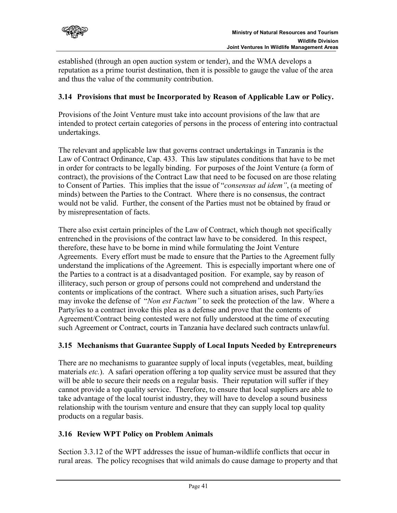

established (through an open auction system or tender), and the WMA develops a reputation as a prime tourist destination, then it is possible to gauge the value of the area and thus the value of the community contribution.

## **3.14 Provisions that must be Incorporated by Reason of Applicable Law or Policy.**

Provisions of the Joint Venture must take into account provisions of the law that are intended to protect certain categories of persons in the process of entering into contractual undertakings.

The relevant and applicable law that governs contract undertakings in Tanzania is the Law of Contract Ordinance, Cap. 433. This law stipulates conditions that have to be met in order for contracts to be legally binding. For purposes of the Joint Venture (a form of contract), the provisions of the Contract Law that need to be focused on are those relating to Consent of Parties. This implies that the issue of "*consensus ad idem"*, (a meeting of minds) between the Parties to the Contract. Where there is no consensus, the contract would not be valid. Further, the consent of the Parties must not be obtained by fraud or by misrepresentation of facts.

There also exist certain principles of the Law of Contract, which though not specifically entrenched in the provisions of the contract law have to be considered. In this respect, therefore, these have to be borne in mind while formulating the Joint Venture Agreements. Every effort must be made to ensure that the Parties to the Agreement fully understand the implications of the Agreement. This is especially important where one of the Parties to a contract is at a disadvantaged position. For example, say by reason of illiteracy, such person or group of persons could not comprehend and understand the contents or implications of the contract. Where such a situation arises, such Party/ies may invoke the defense of "*Non est Factum"* to seek the protection of the law. Where a Party/ies to a contract invoke this plea as a defense and prove that the contents of Agreement/Contract being contested were not fully understood at the time of executing such Agreement or Contract, courts in Tanzania have declared such contracts unlawful.

# **3.15 Mechanisms that Guarantee Supply of Local Inputs Needed by Entrepreneurs**

There are no mechanisms to guarantee supply of local inputs (vegetables, meat, building materials *etc.*). A safari operation offering a top quality service must be assured that they will be able to secure their needs on a regular basis. Their reputation will suffer if they cannot provide a top quality service. Therefore, to ensure that local suppliers are able to take advantage of the local tourist industry, they will have to develop a sound business relationship with the tourism venture and ensure that they can supply local top quality products on a regular basis.

## **3.16 Review WPT Policy on Problem Animals**

Section 3.3.12 of the WPT addresses the issue of human-wildlife conflicts that occur in rural areas. The policy recognises that wild animals do cause damage to property and that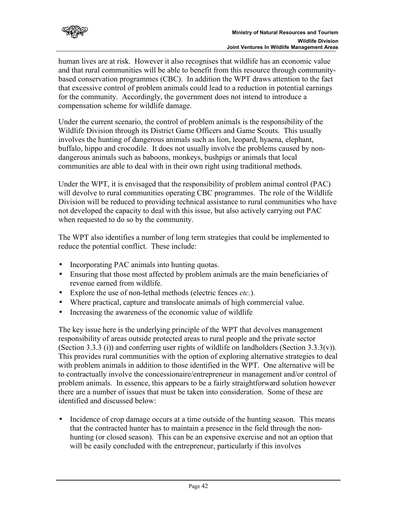

human lives are at risk. However it also recognises that wildlife has an economic value and that rural communities will be able to benefit from this resource through communitybased conservation programmes (CBC). In addition the WPT draws attention to the fact that excessive control of problem animals could lead to a reduction in potential earnings for the community. Accordingly, the government does not intend to introduce a compensation scheme for wildlife damage.

Under the current scenario, the control of problem animals is the responsibility of the Wildlife Division through its District Game Officers and Game Scouts. This usually involves the hunting of dangerous animals such as lion, leopard, hyaena, elephant, buffalo, hippo and crocodile. It does not usually involve the problems caused by nondangerous animals such as baboons, monkeys, bushpigs or animals that local communities are able to deal with in their own right using traditional methods.

Under the WPT, it is envisaged that the responsibility of problem animal control (PAC) will devolve to rural communities operating CBC programmes. The role of the Wildlife Division will be reduced to providing technical assistance to rural communities who have not developed the capacity to deal with this issue, but also actively carrying out PAC when requested to do so by the community.

The WPT also identifies a number of long term strategies that could be implemented to reduce the potential conflict. These include:

- Incorporating PAC animals into hunting quotas.
- Ensuring that those most affected by problem animals are the main beneficiaries of revenue earned from wildlife.
- Explore the use of non-lethal methods (electric fences *etc.*).
- Where practical, capture and translocate animals of high commercial value.
- Increasing the awareness of the economic value of wildlife

The key issue here is the underlying principle of the WPT that devolves management responsibility of areas outside protected areas to rural people and the private sector (Section 3.3.3 (i)) and conferring user rights of wildlife on landholders (Section 3.3.3(v)). This provides rural communities with the option of exploring alternative strategies to deal with problem animals in addition to those identified in the WPT. One alternative will be to contractually involve the concessionaire/entrepreneur in management and/or control of problem animals. In essence, this appears to be a fairly straightforward solution however there are a number of issues that must be taken into consideration. Some of these are identified and discussed below:

• Incidence of crop damage occurs at a time outside of the hunting season. This means that the contracted hunter has to maintain a presence in the field through the nonhunting (or closed season). This can be an expensive exercise and not an option that will be easily concluded with the entrepreneur, particularly if this involves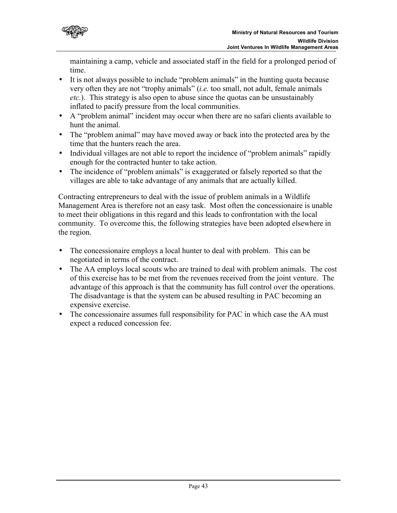

maintaining a camp, vehicle and associated staff in the field for a prolonged period of time.

- It is not always possible to include "problem animals" in the hunting quota because very often they are not "trophy animals" (*i.e.* too small, not adult, female animals *etc.*). This strategy is also open to abuse since the quotas can be unsustainably inflated to pacify pressure from the local communities.
- A "problem animal" incident may occur when there are no safari clients available to hunt the animal.
- The "problem animal" may have moved away or back into the protected area by the time that the hunters reach the area.
- Individual villages are not able to report the incidence of "problem animals" rapidly enough for the contracted hunter to take action.
- The incidence of "problem animals" is exaggerated or falsely reported so that the villages are able to take advantage of any animals that are actually killed.

Contracting entrepreneurs to deal with the issue of problem animals in a Wildlife Management Area is therefore not an easy task. Most often the concessionaire is unable to meet their obligations in this regard and this leads to confrontation with the local community. To overcome this, the following strategies have been adopted elsewhere in the region.

- The concessionaire employs a local hunter to deal with problem. This can be negotiated in terms of the contract.
- The AA employs local scouts who are trained to deal with problem animals. The cost of this exercise has to be met from the revenues received from the joint venture. The advantage of this approach is that the community has full control over the operations. The disadvantage is that the system can be abused resulting in PAC becoming an expensive exercise.
- The concessionaire assumes full responsibility for PAC in which case the AA must expect a reduced concession fee.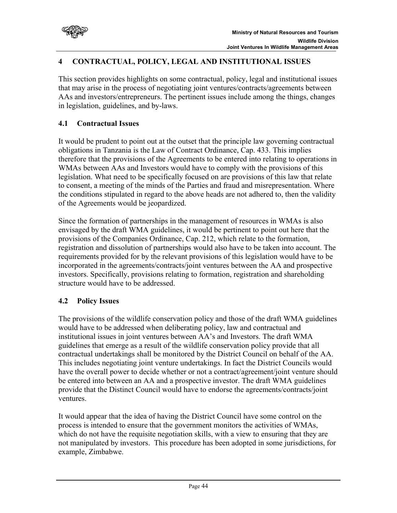

# **4 CONTRACTUAL, POLICY, LEGAL AND INSTITUTIONAL ISSUES**

This section provides highlights on some contractual, policy, legal and institutional issues that may arise in the process of negotiating joint ventures/contracts/agreements between AAs and investors/entrepreneurs. The pertinent issues include among the things, changes in legislation, guidelines, and by-laws.

### **4.1 Contractual Issues**

It would be prudent to point out at the outset that the principle law governing contractual obligations in Tanzania is the Law of Contract Ordinance, Cap. 433. This implies therefore that the provisions of the Agreements to be entered into relating to operations in WMAs between AAs and Investors would have to comply with the provisions of this legislation. What need to be specifically focused on are provisions of this law that relate to consent, a meeting of the minds of the Parties and fraud and misrepresentation. Where the conditions stipulated in regard to the above heads are not adhered to, then the validity of the Agreements would be jeopardized.

Since the formation of partnerships in the management of resources in WMAs is also envisaged by the draft WMA guidelines, it would be pertinent to point out here that the provisions of the Companies Ordinance, Cap. 212, which relate to the formation, registration and dissolution of partnerships would also have to be taken into account. The requirements provided for by the relevant provisions of this legislation would have to be incorporated in the agreements/contracts/joint ventures between the AA and prospective investors. Specifically, provisions relating to formation, registration and shareholding structure would have to be addressed.

## **4.2 Policy Issues**

The provisions of the wildlife conservation policy and those of the draft WMA guidelines would have to be addressed when deliberating policy, law and contractual and institutional issues in joint ventures between AA's and Investors. The draft WMA guidelines that emerge as a result of the wildlife conservation policy provide that all contractual undertakings shall be monitored by the District Council on behalf of the AA. This includes negotiating joint venture undertakings. In fact the District Councils would have the overall power to decide whether or not a contract/agreement/joint venture should be entered into between an AA and a prospective investor. The draft WMA guidelines provide that the Distinct Council would have to endorse the agreements/contracts/joint ventures.

It would appear that the idea of having the District Council have some control on the process is intended to ensure that the government monitors the activities of WMAs, which do not have the requisite negotiation skills, with a view to ensuring that they are not manipulated by investors. This procedure has been adopted in some jurisdictions, for example, Zimbabwe.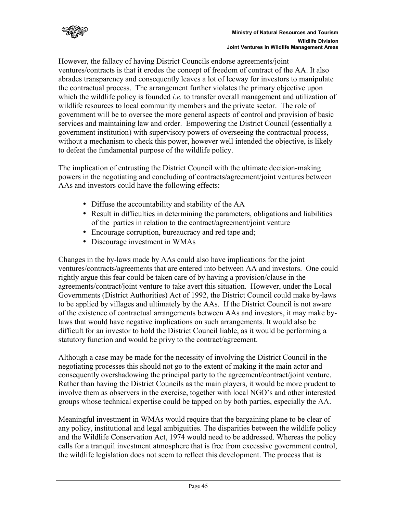

However, the fallacy of having District Councils endorse agreements/joint ventures/contracts is that it erodes the concept of freedom of contract of the AA. It also abrades transparency and consequently leaves a lot of leeway for investors to manipulate the contractual process. The arrangement further violates the primary objective upon which the wildlife policy is founded *i.e.* to transfer overall management and utilization of wildlife resources to local community members and the private sector. The role of government will be to oversee the more general aspects of control and provision of basic services and maintaining law and order. Empowering the District Council (essentially a government institution) with supervisory powers of overseeing the contractual process, without a mechanism to check this power, however well intended the objective, is likely to defeat the fundamental purpose of the wildlife policy.

The implication of entrusting the District Council with the ultimate decision-making powers in the negotiating and concluding of contracts/agreement/joint ventures between AAs and investors could have the following effects:

- Diffuse the accountability and stability of the AA
- Result in difficulties in determining the parameters, obligations and liabilities of the parties in relation to the contract/agreement/joint venture
- Encourage corruption, bureaucracy and red tape and;
- Discourage investment in WMAs

Changes in the by-laws made by AAs could also have implications for the joint ventures/contracts/agreements that are entered into between AA and investors. One could rightly argue this fear could be taken care of by having a provision/clause in the agreements/contract/joint venture to take avert this situation. However, under the Local Governments (District Authorities) Act of 1992, the District Council could make by-laws to be applied by villages and ultimately by the AAs. If the District Council is not aware of the existence of contractual arrangements between AAs and investors, it may make bylaws that would have negative implications on such arrangements. It would also be difficult for an investor to hold the District Council liable, as it would be performing a statutory function and would be privy to the contract/agreement.

Although a case may be made for the necessity of involving the District Council in the negotiating processes this should not go to the extent of making it the main actor and consequently overshadowing the principal party to the agreement/contract/joint venture. Rather than having the District Councils as the main players, it would be more prudent to involve them as observers in the exercise, together with local NGO's and other interested groups whose technical expertise could be tapped on by both parties, especially the AA.

Meaningful investment in WMAs would require that the bargaining plane to be clear of any policy, institutional and legal ambiguities. The disparities between the wildlife policy and the Wildlife Conservation Act, 1974 would need to be addressed. Whereas the policy calls for a tranquil investment atmosphere that is free from excessive government control, the wildlife legislation does not seem to reflect this development. The process that is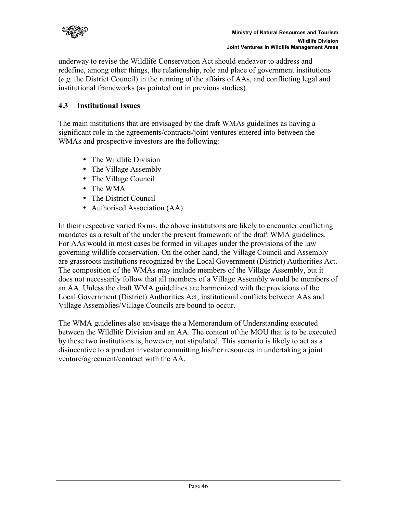

underway to revise the Wildlife Conservation Act should endeavor to address and redefine, among other things, the relationship, role and place of government institutions (*e.g.* the District Council) in the running of the affairs of AAs, and conflicting legal and institutional frameworks (as pointed out in previous studies).

## **4.3 Institutional Issues**

The main institutions that are envisaged by the draft WMAs guidelines as having a significant role in the agreements/contracts/joint ventures entered into between the WMAs and prospective investors are the following:

- The Wildlife Division
- The Village Assembly
- The Village Council
- The WMA
- The District Council
- Authorised Association (AA)

In their respective varied forms, the above institutions are likely to encounter conflicting mandates as a result of the under the present framework of the draft WMA guidelines. For AAs would in most cases be formed in villages under the provisions of the law governing wildlife conservation. On the other hand, the Village Council and Assembly are grassroots institutions recognized by the Local Government (District) Authorities Act. The composition of the WMAs may include members of the Village Assembly, but it does not necessarily follow that all members of a Village Assembly would be members of an AA. Unless the draft WMA guidelines are harmonized with the provisions of the Local Government (District) Authorities Act, institutional conflicts between AAs and Village Assemblies/Village Councils are bound to occur.

The WMA guidelines also envisage the a Memorandum of Understanding executed between the Wildlife Division and an AA. The content of the MOU that is to be executed by these two institutions is, however, not stipulated. This scenario is likely to act as a disincentive to a prudent investor committing his/her resources in undertaking a joint venture/agreement/contract with the AA.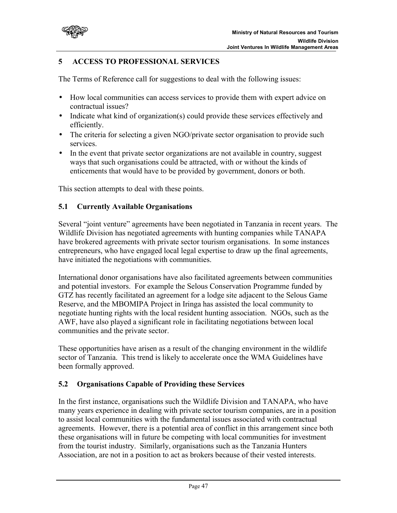

# **5 ACCESS TO PROFESSIONAL SERVICES**

The Terms of Reference call for suggestions to deal with the following issues:

- How local communities can access services to provide them with expert advice on contractual issues?
- Indicate what kind of organization(s) could provide these services effectively and efficiently.
- The criteria for selecting a given NGO/private sector organisation to provide such services.
- In the event that private sector organizations are not available in country, suggest ways that such organisations could be attracted, with or without the kinds of enticements that would have to be provided by government, donors or both.

This section attempts to deal with these points.

### **5.1 Currently Available Organisations**

Several "joint venture" agreements have been negotiated in Tanzania in recent years. The Wildlife Division has negotiated agreements with hunting companies while TANAPA have brokered agreements with private sector tourism organisations. In some instances entrepreneurs, who have engaged local legal expertise to draw up the final agreements, have initiated the negotiations with communities.

International donor organisations have also facilitated agreements between communities and potential investors. For example the Selous Conservation Programme funded by GTZ has recently facilitated an agreement for a lodge site adjacent to the Selous Game Reserve, and the MBOMIPA Project in Iringa has assisted the local community to negotiate hunting rights with the local resident hunting association. NGOs, such as the AWF, have also played a significant role in facilitating negotiations between local communities and the private sector.

These opportunities have arisen as a result of the changing environment in the wildlife sector of Tanzania. This trend is likely to accelerate once the WMA Guidelines have been formally approved.

#### **5.2 Organisations Capable of Providing these Services**

In the first instance, organisations such the Wildlife Division and TANAPA, who have many years experience in dealing with private sector tourism companies, are in a position to assist local communities with the fundamental issues associated with contractual agreements. However, there is a potential area of conflict in this arrangement since both these organisations will in future be competing with local communities for investment from the tourist industry. Similarly, organisations such as the Tanzania Hunters Association, are not in a position to act as brokers because of their vested interests.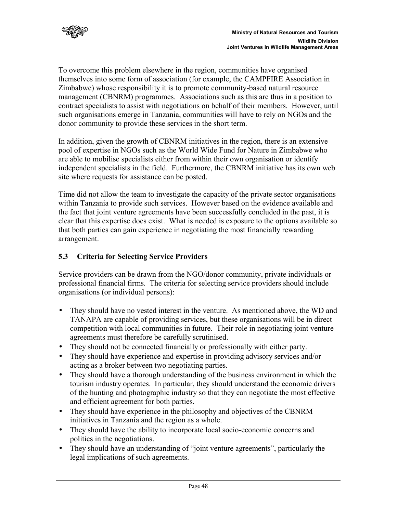

To overcome this problem elsewhere in the region, communities have organised themselves into some form of association (for example, the CAMPFIRE Association in Zimbabwe) whose responsibility it is to promote community-based natural resource management (CBNRM) programmes. Associations such as this are thus in a position to contract specialists to assist with negotiations on behalf of their members. However, until such organisations emerge in Tanzania, communities will have to rely on NGOs and the donor community to provide these services in the short term.

In addition, given the growth of CBNRM initiatives in the region, there is an extensive pool of expertise in NGOs such as the World Wide Fund for Nature in Zimbabwe who are able to mobilise specialists either from within their own organisation or identify independent specialists in the field. Furthermore, the CBNRM initiative has its own web site where requests for assistance can be posted.

Time did not allow the team to investigate the capacity of the private sector organisations within Tanzania to provide such services. However based on the evidence available and the fact that joint venture agreements have been successfully concluded in the past, it is clear that this expertise does exist. What is needed is exposure to the options available so that both parties can gain experience in negotiating the most financially rewarding arrangement.

# **5.3 Criteria for Selecting Service Providers**

Service providers can be drawn from the NGO/donor community, private individuals or professional financial firms. The criteria for selecting service providers should include organisations (or individual persons):

- They should have no vested interest in the venture. As mentioned above, the WD and TANAPA are capable of providing services, but these organisations will be in direct competition with local communities in future. Their role in negotiating joint venture agreements must therefore be carefully scrutinised.
- They should not be connected financially or professionally with either party.
- They should have experience and expertise in providing advisory services and/or acting as a broker between two negotiating parties.
- They should have a thorough understanding of the business environment in which the tourism industry operates. In particular, they should understand the economic drivers of the hunting and photographic industry so that they can negotiate the most effective and efficient agreement for both parties.
- They should have experience in the philosophy and objectives of the CBNRM initiatives in Tanzania and the region as a whole.
- They should have the ability to incorporate local socio-economic concerns and politics in the negotiations.
- They should have an understanding of "joint venture agreements", particularly the legal implications of such agreements.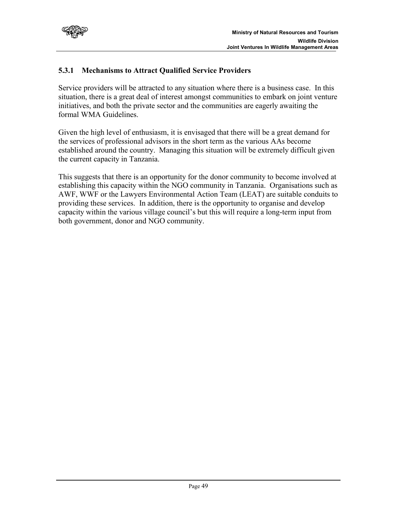

## **5.3.1 Mechanisms to Attract Qualified Service Providers**

Service providers will be attracted to any situation where there is a business case. In this situation, there is a great deal of interest amongst communities to embark on joint venture initiatives, and both the private sector and the communities are eagerly awaiting the formal WMA Guidelines.

Given the high level of enthusiasm, it is envisaged that there will be a great demand for the services of professional advisors in the short term as the various AAs become established around the country. Managing this situation will be extremely difficult given the current capacity in Tanzania.

This suggests that there is an opportunity for the donor community to become involved at establishing this capacity within the NGO community in Tanzania. Organisations such as AWF, WWF or the Lawyers Environmental Action Team (LEAT) are suitable conduits to providing these services. In addition, there is the opportunity to organise and develop capacity within the various village council's but this will require a long-term input from both government, donor and NGO community.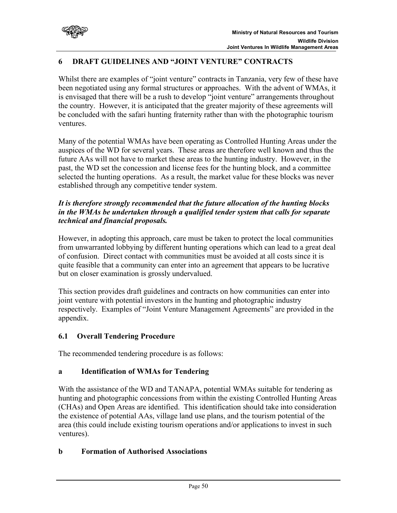

## **6 DRAFT GUIDELINES AND "JOINT VENTURE" CONTRACTS**

Whilst there are examples of "joint venture" contracts in Tanzania, very few of these have been negotiated using any formal structures or approaches. With the advent of WMAs, it is envisaged that there will be a rush to develop "joint venture" arrangements throughout the country. However, it is anticipated that the greater majority of these agreements will be concluded with the safari hunting fraternity rather than with the photographic tourism ventures.

Many of the potential WMAs have been operating as Controlled Hunting Areas under the auspices of the WD for several years. These areas are therefore well known and thus the future AAs will not have to market these areas to the hunting industry. However, in the past, the WD set the concession and license fees for the hunting block, and a committee selected the hunting operations. As a result, the market value for these blocks was never established through any competitive tender system.

## *It is therefore strongly recommended that the future allocation of the hunting blocks in the WMAs be undertaken through a qualified tender system that calls for separate technical and financial proposals.*

However, in adopting this approach, care must be taken to protect the local communities from unwarranted lobbying by different hunting operations which can lead to a great deal of confusion. Direct contact with communities must be avoided at all costs since it is quite feasible that a community can enter into an agreement that appears to be lucrative but on closer examination is grossly undervalued.

This section provides draft guidelines and contracts on how communities can enter into joint venture with potential investors in the hunting and photographic industry respectively. Examples of "Joint Venture Management Agreements" are provided in the appendix.

## **6.1 Overall Tendering Procedure**

The recommended tendering procedure is as follows:

## **a Identification of WMAs for Tendering**

With the assistance of the WD and TANAPA, potential WMAs suitable for tendering as hunting and photographic concessions from within the existing Controlled Hunting Areas (CHAs) and Open Areas are identified. This identification should take into consideration the existence of potential AAs, village land use plans, and the tourism potential of the area (this could include existing tourism operations and/or applications to invest in such ventures).

#### **b Formation of Authorised Associations**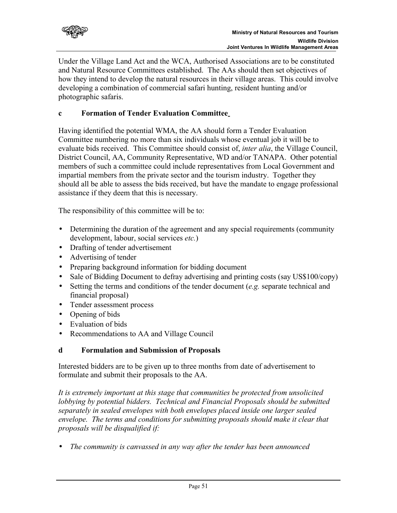

Under the Village Land Act and the WCA, Authorised Associations are to be constituted and Natural Resource Committees established. The AAs should then set objectives of how they intend to develop the natural resources in their village areas. This could involve developing a combination of commercial safari hunting, resident hunting and/or photographic safaris.

## **c Formation of Tender Evaluation Committee**

Having identified the potential WMA, the AA should form a Tender Evaluation Committee numbering no more than six individuals whose eventual job it will be to evaluate bids received. This Committee should consist of, *inter alia*, the Village Council, District Council, AA, Community Representative, WD and/or TANAPA. Other potential members of such a committee could include representatives from Local Government and impartial members from the private sector and the tourism industry. Together they should all be able to assess the bids received, but have the mandate to engage professional assistance if they deem that this is necessary.

The responsibility of this committee will be to:

- Determining the duration of the agreement and any special requirements (community development, labour, social services *etc.*)
- Drafting of tender advertisement
- Advertising of tender
- Preparing background information for bidding document
- Sale of Bidding Document to defray advertising and printing costs (say US\$100/copy)
- Setting the terms and conditions of the tender document (*e.g.* separate technical and financial proposal)
- Tender assessment process
- Opening of bids
- Evaluation of bids
- Recommendations to AA and Village Council

## **d Formulation and Submission of Proposals**

Interested bidders are to be given up to three months from date of advertisement to formulate and submit their proposals to the AA.

*It is extremely important at this stage that communities be protected from unsolicited lobbying by potential bidders. Technical and Financial Proposals should be submitted separately in sealed envelopes with both envelopes placed inside one larger sealed envelope. The terms and conditions for submitting proposals should make it clear that proposals will be disqualified if:*

• *The community is canvassed in any way after the tender has been announced*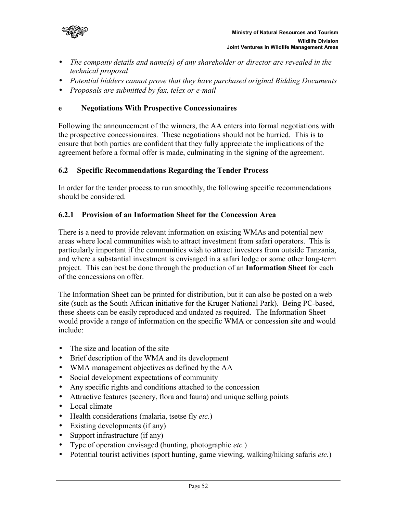

- *The company details and name(s) of any shareholder or director are revealed in the technical proposal*
- *Potential bidders cannot prove that they have purchased original Bidding Documents*
- *Proposals are submitted by fax, telex or e-mail*

### **e Negotiations With Prospective Concessionaires**

Following the announcement of the winners, the AA enters into formal negotiations with the prospective concessionaires. These negotiations should not be hurried. This is to ensure that both parties are confident that they fully appreciate the implications of the agreement before a formal offer is made, culminating in the signing of the agreement.

## **6.2 Specific Recommendations Regarding the Tender Process**

In order for the tender process to run smoothly, the following specific recommendations should be considered.

### **6.2.1 Provision of an Information Sheet for the Concession Area**

There is a need to provide relevant information on existing WMAs and potential new areas where local communities wish to attract investment from safari operators. This is particularly important if the communities wish to attract investors from outside Tanzania, and where a substantial investment is envisaged in a safari lodge or some other long-term project. This can best be done through the production of an **Information Sheet** for each of the concessions on offer.

The Information Sheet can be printed for distribution, but it can also be posted on a web site (such as the South African initiative for the Kruger National Park). Being PC-based, these sheets can be easily reproduced and undated as required. The Information Sheet would provide a range of information on the specific WMA or concession site and would include:

- The size and location of the site
- Brief description of the WMA and its development
- WMA management objectives as defined by the AA
- Social development expectations of community
- Any specific rights and conditions attached to the concession
- Attractive features (scenery, flora and fauna) and unique selling points
- Local climate
- Health considerations (malaria, tsetse fly *etc.*)
- Existing developments (if any)
- Support infrastructure (if any)
- Type of operation envisaged (hunting, photographic *etc.*)
- Potential tourist activities (sport hunting, game viewing, walking/hiking safaris *etc.*)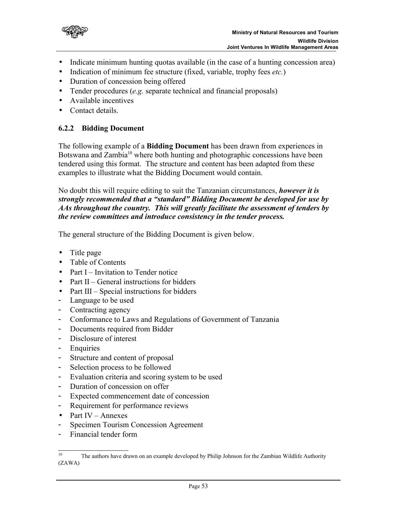

- Indicate minimum hunting quotas available (in the case of a hunting concession area)
- Indication of minimum fee structure (fixed, variable, trophy fees *etc.*)
- Duration of concession being offered
- Tender procedures (*e.g.* separate technical and financial proposals)
- Available incentives
- Contact details

## **6.2.2 Bidding Document**

The following example of a **Bidding Document** has been drawn from experiences in Botswana and Zambia<sup>10</sup> where both hunting and photographic concessions have been tendered using this format. The structure and content has been adapted from these examples to illustrate what the Bidding Document would contain.

No doubt this will require editing to suit the Tanzanian circumstances, *however it is strongly recommended that a "standard" Bidding Document be developed for use by AAs throughout the country. This will greatly facilitate the assessment of tenders by the review committees and introduce consistency in the tender process.*

The general structure of the Bidding Document is given below.

- Title page
- Table of Contents
- Part I Invitation to Tender notice
- Part II General instructions for bidders
- Part III Special instructions for bidders
- Language to be used
- Contracting agency
- Conformance to Laws and Regulations of Government of Tanzania
- Documents required from Bidder
- Disclosure of interest
- Enquiries
- Structure and content of proposal
- Selection process to be followed
- Evaluation criteria and scoring system to be used
- Duration of concession on offer
- Expected commencement date of concession
- Requirement for performance reviews
- Part IV Annexes
- Specimen Tourism Concession Agreement
- Financial tender form

<sup>&</sup>lt;sup>10</sup> The authors have drawn on an example developed by Philip Johnson for the Zambian Wildlife Authority (ZAWA)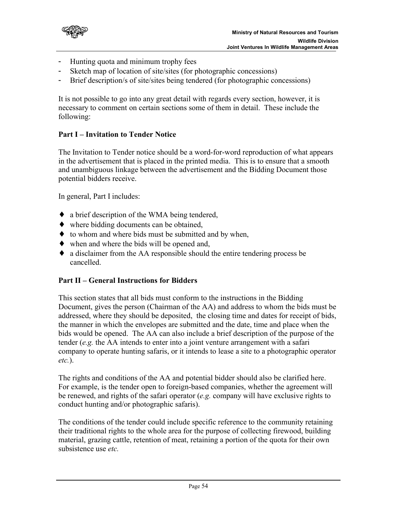

- Hunting quota and minimum trophy fees
- Sketch map of location of site/sites (for photographic concessions)
- Brief description/s of site/sites being tendered (for photographic concessions)

It is not possible to go into any great detail with regards every section, however, it is necessary to comment on certain sections some of them in detail. These include the following:

## **Part I – Invitation to Tender Notice**

The Invitation to Tender notice should be a word-for-word reproduction of what appears in the advertisement that is placed in the printed media. This is to ensure that a smooth and unambiguous linkage between the advertisement and the Bidding Document those potential bidders receive.

In general, Part I includes:

- ♦ a brief description of the WMA being tendered,
- ♦ where bidding documents can be obtained,
- ♦ to whom and where bids must be submitted and by when,
- ♦ when and where the bids will be opened and,
- ♦ a disclaimer from the AA responsible should the entire tendering process be cancelled.

## **Part II – General Instructions for Bidders**

This section states that all bids must conform to the instructions in the Bidding Document, gives the person (Chairman of the AA) and address to whom the bids must be addressed, where they should be deposited, the closing time and dates for receipt of bids, the manner in which the envelopes are submitted and the date, time and place when the bids would be opened. The AA can also include a brief description of the purpose of the tender (*e.g.* the AA intends to enter into a joint venture arrangement with a safari company to operate hunting safaris, or it intends to lease a site to a photographic operator *etc.*).

The rights and conditions of the AA and potential bidder should also be clarified here. For example, is the tender open to foreign-based companies, whether the agreement will be renewed, and rights of the safari operator (*e.g.* company will have exclusive rights to conduct hunting and/or photographic safaris).

The conditions of the tender could include specific reference to the community retaining their traditional rights to the whole area for the purpose of collecting firewood, building material, grazing cattle, retention of meat, retaining a portion of the quota for their own subsistence use *etc.*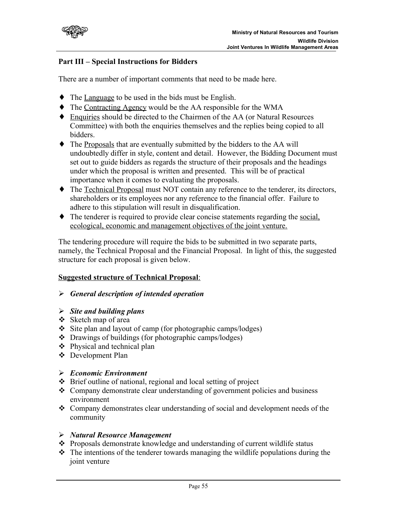

# **Part III – Special Instructions for Bidders**

There are a number of important comments that need to be made here.

- ♦ The Language to be used in the bids must be English.
- ♦ The Contracting Agency would be the AA responsible for the WMA
- ♦ Enquiries should be directed to the Chairmen of the AA (or Natural Resources Committee) with both the enquiries themselves and the replies being copied to all bidders.
- ♦ The Proposals that are eventually submitted by the bidders to the AA will undoubtedly differ in style, content and detail. However, the Bidding Document must set out to guide bidders as regards the structure of their proposals and the headings under which the proposal is written and presented. This will be of practical importance when it comes to evaluating the proposals.
- ♦ The Technical Proposal must NOT contain any reference to the tenderer, its directors, shareholders or its employees nor any reference to the financial offer. Failure to adhere to this stipulation will result in disqualification.
- ♦ The tenderer is required to provide clear concise statements regarding the social, ecological, economic and management objectives of the joint venture.

The tendering procedure will require the bids to be submitted in two separate parts, namely, the Technical Proposal and the Financial Proposal. In light of this, the suggested structure for each proposal is given below.

## **Suggested structure of Technical Proposal:**

- *General description of intended operation*
- *Site and building plans*
- $\div$  Sketch map of area
- $\div$  Site plan and layout of camp (for photographic camps/lodges)
- $\triangle$  Drawings of buildings (for photographic camps/lodges)
- Physical and technical plan
- Development Plan

## *Economic Environment*

- $\triangle$  Brief outline of national, regional and local setting of project
- Company demonstrate clear understanding of government policies and business environment
- Company demonstrates clear understanding of social and development needs of the community

## *Natural Resource Management*

- Proposals demonstrate knowledge and understanding of current wildlife status
- $\hat{\cdot}$  The intentions of the tenderer towards managing the wildlife populations during the joint venture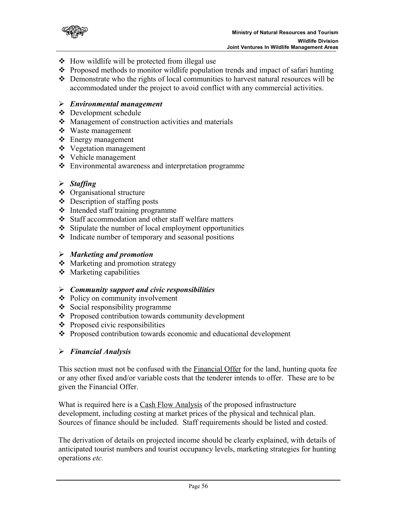

- How wildlife will be protected from illegal use
- $\cdot$  Proposed methods to monitor wildlife population trends and impact of safari hunting
- Demonstrate who the rights of local communities to harvest natural resources will be accommodated under the project to avoid conflict with any commercial activities.

### *Environmental management*

- Development schedule
- $\triangle$  Management of construction activities and materials
- Waste management
- Energy management
- Vegetation management
- Vehicle management
- Environmental awareness and interpretation programme

## *Staffing*

- Organisational structure
- $\triangle$  Description of staffing posts
- $\triangle$  Intended staff training programme
- Staff accommodation and other staff welfare matters
- $\triangle$  Stipulate the number of local employment opportunities
- $\triangle$  Indicate number of temporary and seasonal positions

### *Marketing and promotion*

- $\triangleleft$  Marketing and promotion strategy
- $\triangleleft$  Marketing capabilities

#### *Community support and civic responsibilities*

- Policy on community involvement
- $\div$  Social responsibility programme
- ❖ Proposed contribution towards community development
- $\triangle$  Proposed civic responsibilities
- Proposed contribution towards economic and educational development

## *Financial Analysis*

This section must not be confused with the Financial Offer for the land, hunting quota fee or any other fixed and/or variable costs that the tenderer intends to offer. These are to be given the Financial Offer.

What is required here is a Cash Flow Analysis of the proposed infrastructure development, including costing at market prices of the physical and technical plan. Sources of finance should be included. Staff requirements should be listed and costed.

The derivation of details on projected income should be clearly explained, with details of anticipated tourist numbers and tourist occupancy levels, marketing strategies for hunting operations *etc.*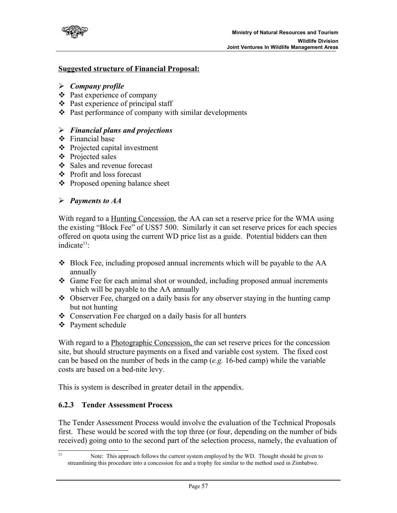

### **Suggested structure of Financial Proposal:**

- *Company profile*
- Past experience of company
- Past experience of principal staff
- $\triangle$  Past performance of company with similar developments

## *Financial plans and projections*

- $\div$  Financial base
- Projected capital investment
- ❖ Projected sales
- Sales and revenue forecast
- Profit and loss forecast
- ❖ Proposed opening balance sheet

## *Payments to AA*

With regard to a Hunting Concession, the AA can set a reserve price for the WMA using the existing "Block Fee" of US\$7 500. Similarly it can set reserve prices for each species offered on quota using the current WD price list as a guide. Potential bidders can then indicate<sup>11</sup>:

- Block Fee, including proposed annual increments which will be payable to the AA annually
- Game Fee for each animal shot or wounded, including proposed annual increments which will be payable to the AA annually
- Observer Fee, charged on a daily basis for any observer staying in the hunting camp but not hunting
- Conservation Fee charged on a daily basis for all hunters
- Payment schedule

With regard to a Photographic Concession, the can set reserve prices for the concession site, but should structure payments on a fixed and variable cost system. The fixed cost can be based on the number of beds in the camp (*e.g.* 16-bed camp) while the variable costs are based on a bed-nite levy.

This is system is described in greater detail in the appendix.

## **6.2.3 Tender Assessment Process**

The Tender Assessment Process would involve the evaluation of the Technical Proposals first. These would be scored with the top three (or four, depending on the number of bids received) going onto to the second part of the selection process, namely, the evaluation of

<sup>&</sup>lt;sup>11</sup> Note: This approach follows the current system employed by the WD. Thought should be given to streamlining this procedure into a concession fee and a trophy fee similar to the method used in Zimbabwe.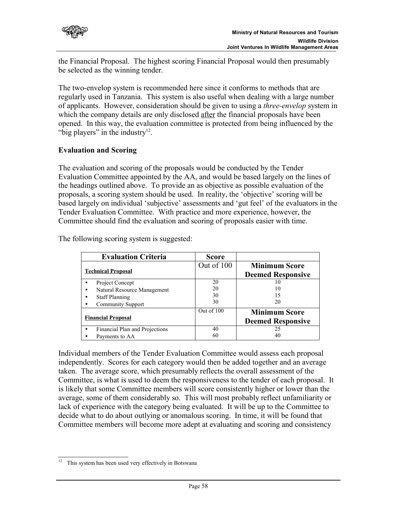

the Financial Proposal. The highest scoring Financial Proposal would then presumably be selected as the winning tender.

The two-envelop system is recommended here since it conforms to methods that are regularly used in Tanzania. This system is also useful when dealing with a large number of applicants. However, consideration should be given to using a *three-envelop* system in which the company details are only disclosed after the financial proposals have been opened. In this way, the evaluation committee is protected from being influenced by the "big players" in the industry $12$ .

## **Evaluation and Scoring**

The evaluation and scoring of the proposals would be conducted by the Tender Evaluation Committee appointed by the AA, and would be based largely on the lines of the headings outlined above. To provide an as objective as possible evaluation of the proposals, a scoring system should be used. In reality, the 'objective' scoring will be based largely on individual 'subjective' assessments and 'gut feel' of the evaluators in the Tender Evaluation Committee. With practice and more experience, however, the Committee should find the evaluation and scoring of proposals easier with time.

| <b>Evaluation Criteria</b>     | <b>Score</b> |                          |
|--------------------------------|--------------|--------------------------|
|                                | Out of 100   | <b>Minimum Score</b>     |
| <b>Technical Proposal</b>      |              | <b>Deemed Responsive</b> |
| Project Concept                | 20           | 10                       |
| Natural Resource Management    | 20           | 10                       |
| <b>Staff Planning</b>          | 30           | 15                       |
| <b>Community Support</b>       | 30           | 20                       |
|                                | Out of 100   | <b>Minimum Score</b>     |
| <b>Financial Proposal</b>      |              | <b>Deemed Responsive</b> |
| Financial Plan and Projections | 40           | 25                       |
| Payments to AA                 | 60           | 40                       |

The following scoring system is suggested:

Individual members of the Tender Evaluation Committee would assess each proposal independently. Scores for each category would then be added together and an average taken. The average score, which presumably reflects the overall assessment of the Committee, is what is used to deem the responsiveness to the tender of each proposal. It is likely that some Committee members will score consistently higher or lower than the average, some of them considerably so. This will most probably reflect unfamiliarity or lack of experience with the category being evaluated. It will be up to the Committee to decide what to do about outlying or anomalous scoring. In time, it will be found that Committee members will become more adept at evaluating and scoring and consistency

 $12$  This system has been used very effectively in Botswana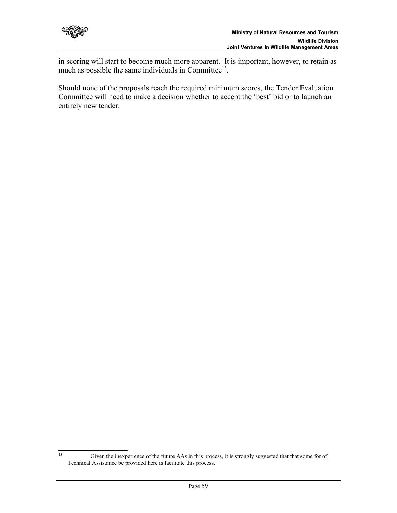

in scoring will start to become much more apparent. It is important, however, to retain as much as possible the same individuals in Committee<sup>13</sup>.

Should none of the proposals reach the required minimum scores, the Tender Evaluation Committee will need to make a decision whether to accept the 'best' bid or to launch an entirely new tender.

<sup>&</sup>lt;sup>13</sup> Given the inexperience of the future AAs in this process, it is strongly suggested that that some for of Technical Assistance be provided here is facilitate this process.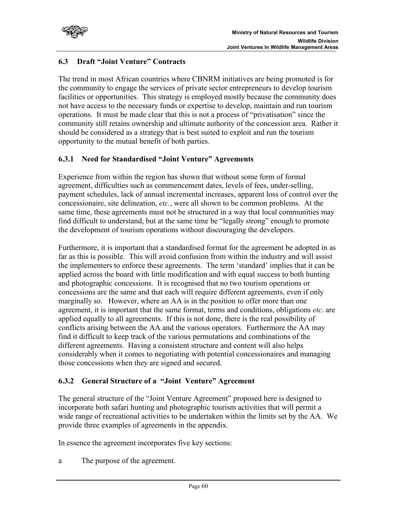

# **6.3 Draft "Joint Venture" Contracts**

The trend in most African countries where CBNRM initiatives are being promoted is for the community to engage the services of private sector entrepreneurs to develop tourism facilities or opportunities. This strategy is employed mostly because the community does not have access to the necessary funds or expertise to develop, maintain and run tourism operations. It must be made clear that this is not a process of "privatisation" since the community still retains ownership and ultimate authority of the concession area. Rather it should be considered as a strategy that is best suited to exploit and run the tourism opportunity to the mutual benefit of both parties.

## **6.3.1 Need for Standardised "Joint Venture" Agreements**

Experience from within the region has shown that without some form of formal agreement, difficulties such as commencement dates, levels of fees, under-selling, payment schedules, lack of annual incremental increases, apparent loss of control over the concessionaire, site delineation, *etc.*, were all shown to be common problems. At the same time, these agreements must not be structured in a way that local communities may find difficult to understand, but at the same time be "legally strong" enough to promote the development of tourism operations without discouraging the developers.

Furthermore, it is important that a standardised format for the agreement be adopted in as far as this is possible. This will avoid confusion from within the industry and will assist the implementers to enforce these agreements. The term 'standard' implies that it can be applied across the board with little modification and with equal success to both hunting and photographic concessions. It is recognised that no two tourism operations or concessions are the same and that each will require different agreements, even if only marginally so. However, where an AA is in the position to offer more than one agreement, it is important that the same format, terms and conditions, obligations *etc*. are applied equally to all agreements. If this is not done, there is the real possibility of conflicts arising between the AA and the various operators. Furthermore the AA may find it difficult to keep track of the various permutations and combinations of the different agreements. Having a consistent structure and content will also helps considerably when it comes to negotiating with potential concessionaires and managing those concessions when they are signed and secured.

## **6.3.2 General Structure of a "Joint Venture" Agreement**

The general structure of the "Joint Venture Agreement" proposed here is designed to incorporate both safari hunting and photographic tourism activities that will permit a wide range of recreational activities to be undertaken within the limits set by the AA. We provide three examples of agreements in the appendix.

In essence the agreement incorporates five key sections:

a The purpose of the agreement.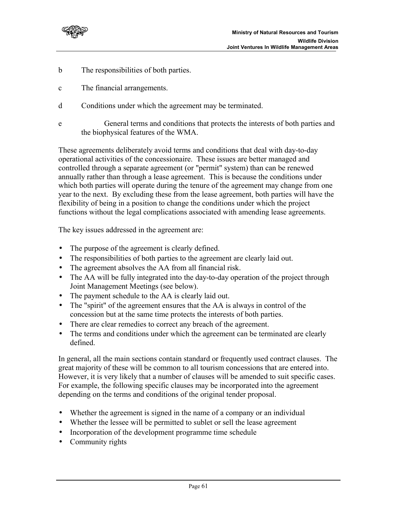

- b The responsibilities of both parties.
- c The financial arrangements.
- d Conditions under which the agreement may be terminated.
- e General terms and conditions that protects the interests of both parties and the biophysical features of the WMA.

These agreements deliberately avoid terms and conditions that deal with day-to-day operational activities of the concessionaire. These issues are better managed and controlled through a separate agreement (or "permit" system) than can be renewed annually rather than through a lease agreement. This is because the conditions under which both parties will operate during the tenure of the agreement may change from one year to the next. By excluding these from the lease agreement, both parties will have the flexibility of being in a position to change the conditions under which the project functions without the legal complications associated with amending lease agreements.

The key issues addressed in the agreement are:

- The purpose of the agreement is clearly defined.
- The responsibilities of both parties to the agreement are clearly laid out.
- The agreement absolves the AA from all financial risk.
- The AA will be fully integrated into the day-to-day operation of the project through Joint Management Meetings (see below).
- The payment schedule to the AA is clearly laid out.
- The "spirit" of the agreement ensures that the AA is always in control of the concession but at the same time protects the interests of both parties.
- There are clear remedies to correct any breach of the agreement.
- The terms and conditions under which the agreement can be terminated are clearly defined.

In general, all the main sections contain standard or frequently used contract clauses. The great majority of these will be common to all tourism concessions that are entered into. However, it is very likely that a number of clauses will be amended to suit specific cases. For example, the following specific clauses may be incorporated into the agreement depending on the terms and conditions of the original tender proposal.

- Whether the agreement is signed in the name of a company or an individual
- Whether the lessee will be permitted to sublet or sell the lease agreement
- Incorporation of the development programme time schedule
- Community rights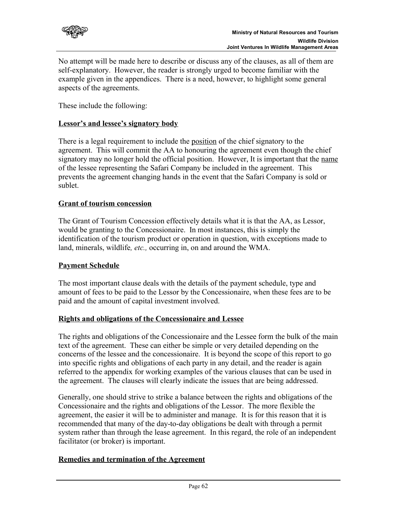

No attempt will be made here to describe or discuss any of the clauses, as all of them are self-explanatory. However, the reader is strongly urged to become familiar with the example given in the appendices. There is a need, however, to highlight some general aspects of the agreements.

These include the following:

### **Lessor's and lessee's signatory body**

There is a legal requirement to include the position of the chief signatory to the agreement. This will commit the AA to honouring the agreement even though the chief signatory may no longer hold the official position. However, It is important that the name of the lessee representing the Safari Company be included in the agreement. This prevents the agreement changing hands in the event that the Safari Company is sold or sublet.

### **Grant of tourism concession**

The Grant of Tourism Concession effectively details what it is that the AA, as Lessor, would be granting to the Concessionaire. In most instances, this is simply the identification of the tourism product or operation in question, with exceptions made to land, minerals, wildlife*, etc.,* occurring in, on and around the WMA.

## **Payment Schedule**

The most important clause deals with the details of the payment schedule, type and amount of fees to be paid to the Lessor by the Concessionaire, when these fees are to be paid and the amount of capital investment involved.

## **Rights and obligations of the Concessionaire and Lessee**

The rights and obligations of the Concessionaire and the Lessee form the bulk of the main text of the agreement. These can either be simple or very detailed depending on the concerns of the lessee and the concessionaire. It is beyond the scope of this report to go into specific rights and obligations of each party in any detail, and the reader is again referred to the appendix for working examples of the various clauses that can be used in the agreement. The clauses will clearly indicate the issues that are being addressed.

Generally, one should strive to strike a balance between the rights and obligations of the Concessionaire and the rights and obligations of the Lessor. The more flexible the agreement, the easier it will be to administer and manage. It is for this reason that it is recommended that many of the day-to-day obligations be dealt with through a permit system rather than through the lease agreement. In this regard, the role of an independent facilitator (or broker) is important.

## **Remedies and termination of the Agreement**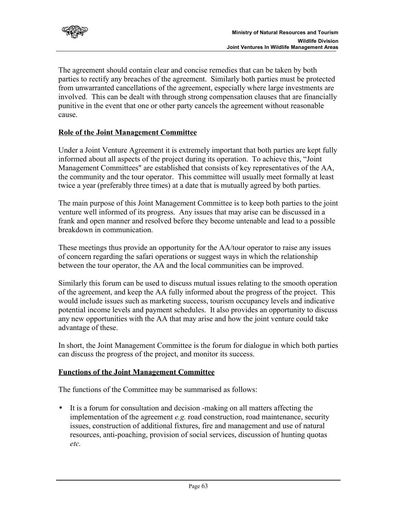

The agreement should contain clear and concise remedies that can be taken by both parties to rectify any breaches of the agreement. Similarly both parties must be protected from unwarranted cancellations of the agreement, especially where large investments are involved. This can be dealt with through strong compensation clauses that are financially punitive in the event that one or other party cancels the agreement without reasonable cause.

### **Role of the Joint Management Committee**

Under a Joint Venture Agreement it is extremely important that both parties are kept fully informed about all aspects of the project during its operation. To achieve this, "Joint Management Committees" are established that consists of key representatives of the AA, the community and the tour operator. This committee will usually meet formally at least twice a year (preferably three times) at a date that is mutually agreed by both parties.

The main purpose of this Joint Management Committee is to keep both parties to the joint venture well informed of its progress. Any issues that may arise can be discussed in a frank and open manner and resolved before they become untenable and lead to a possible breakdown in communication.

These meetings thus provide an opportunity for the AA/tour operator to raise any issues of concern regarding the safari operations or suggest ways in which the relationship between the tour operator, the AA and the local communities can be improved.

Similarly this forum can be used to discuss mutual issues relating to the smooth operation of the agreement, and keep the AA fully informed about the progress of the project. This would include issues such as marketing success, tourism occupancy levels and indicative potential income levels and payment schedules. It also provides an opportunity to discuss any new opportunities with the AA that may arise and how the joint venture could take advantage of these.

In short, the Joint Management Committee is the forum for dialogue in which both parties can discuss the progress of the project, and monitor its success.

### **Functions of the Joint Management Committee**

The functions of the Committee may be summarised as follows:

• It is a forum for consultation and decision -making on all matters affecting the implementation of the agreement *e.g.* road construction, road maintenance, security issues, construction of additional fixtures, fire and management and use of natural resources, anti-poaching, provision of social services, discussion of hunting quotas *etc.*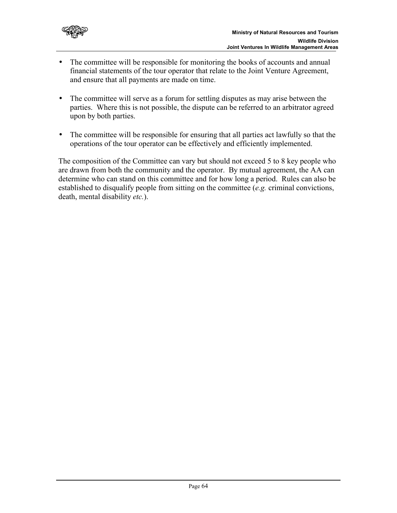

- The committee will be responsible for monitoring the books of accounts and annual financial statements of the tour operator that relate to the Joint Venture Agreement, and ensure that all payments are made on time.
- The committee will serve as a forum for settling disputes as may arise between the parties. Where this is not possible, the dispute can be referred to an arbitrator agreed upon by both parties.
- The committee will be responsible for ensuring that all parties act lawfully so that the operations of the tour operator can be effectively and efficiently implemented.

The composition of the Committee can vary but should not exceed 5 to 8 key people who are drawn from both the community and the operator. By mutual agreement, the AA can determine who can stand on this committee and for how long a period. Rules can also be established to disqualify people from sitting on the committee (*e.g.* criminal convictions, death, mental disability *etc.*).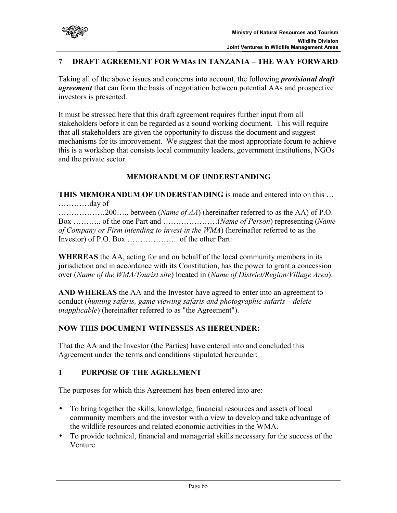

#### **7 DRAFT AGREEMENT FOR WMAs IN TANZANIA – THE WAY FORWARD**

Taking all of the above issues and concerns into account, the following *provisional draft agreement* that can form the basis of negotiation between potential AAs and prospective investors is presented.

It must be stressed here that this draft agreement requires further input from all stakeholders before it can be regarded as a sound working document. This will require that all stakeholders are given the opportunity to discuss the document and suggest mechanisms for its improvement. We suggest that the most appropriate forum to achieve this is a workshop that consists local community leaders, government institutions, NGOs and the private sector.

#### **MEMORANDUM OF UNDERSTANDING**

**THIS MEMORANDUM OF UNDERSTANDING** is made and entered into on this … …………day of

………………200….. between (*Name of AA*) (hereinafter referred to as the AA) of P.O. Box ……….. of the one Part and …………………(*Name of Person*) representing (*Name of Company or Firm intending to invest in the WMA*) (hereinafter referred to as the Investor) of P.O. Box ………………. of the other Part:

**WHEREAS** the AA, acting for and on behalf of the local community members in its jurisdiction and in accordance with its Constitution, has the power to grant a concession over (*Name of the WMA/Tourist site*) located in (*Name of District/Region/Village Area*).

**AND WHEREAS** the AA and the Investor have agreed to enter into an agreement to conduct (*hunting safaris, game viewing safaris and photographic safaris – delete inapplicable*) (hereinafter referred to as "the Agreement").

#### **NOW THIS DOCUMENT WITNESSES AS HEREUNDER:**

That the AA and the Investor (the Parties) have entered into and concluded this Agreement under the terms and conditions stipulated hereunder:

### **1 PURPOSE OF THE AGREEMENT**

The purposes for which this Agreement has been entered into are:

- To bring together the skills, knowledge, financial resources and assets of local community members and the investor with a view to develop and take advantage of the wildlife resources and related economic activities in the WMA.
- To provide technical, financial and managerial skills necessary for the success of the Venture.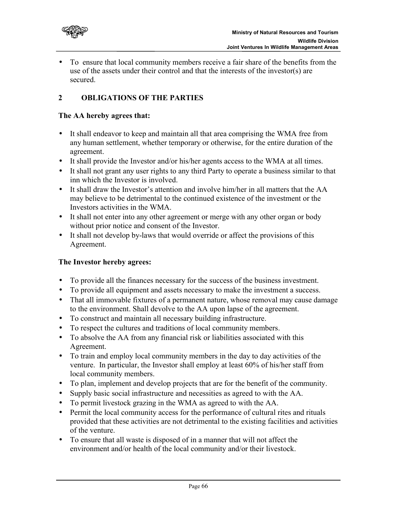

• To ensure that local community members receive a fair share of the benefits from the use of the assets under their control and that the interests of the investor(s) are secured.

## **2 OBLIGATIONS OF THE PARTIES**

#### **The AA hereby agrees that:**

- It shall endeavor to keep and maintain all that area comprising the WMA free from any human settlement, whether temporary or otherwise, for the entire duration of the agreement.
- It shall provide the Investor and/or his/her agents access to the WMA at all times.
- It shall not grant any user rights to any third Party to operate a business similar to that inn which the Investor is involved.
- It shall draw the Investor's attention and involve him/her in all matters that the AA may believe to be detrimental to the continued existence of the investment or the Investors activities in the WMA.
- It shall not enter into any other agreement or merge with any other organ or body without prior notice and consent of the Investor.
- It shall not develop by-laws that would override or affect the provisions of this Agreement.

### **The Investor hereby agrees:**

- To provide all the finances necessary for the success of the business investment.
- To provide all equipment and assets necessary to make the investment a success.
- That all immovable fixtures of a permanent nature, whose removal may cause damage to the environment. Shall devolve to the AA upon lapse of the agreement.
- To construct and maintain all necessary building infrastructure.
- To respect the cultures and traditions of local community members.
- To absolve the AA from any financial risk or liabilities associated with this Agreement.
- To train and employ local community members in the day to day activities of the venture. In particular, the Investor shall employ at least 60% of his/her staff from local community members.
- To plan, implement and develop projects that are for the benefit of the community.
- Supply basic social infrastructure and necessities as agreed to with the AA.
- To permit livestock grazing in the WMA as agreed to with the AA.
- Permit the local community access for the performance of cultural rites and rituals provided that these activities are not detrimental to the existing facilities and activities of the venture.
- To ensure that all waste is disposed of in a manner that will not affect the environment and/or health of the local community and/or their livestock.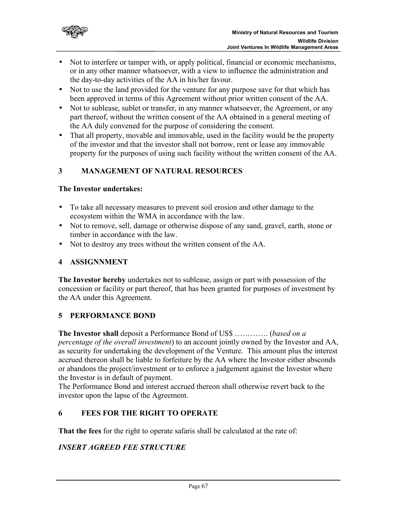

- Not to interfere or tamper with, or apply political, financial or economic mechanisms, or in any other manner whatsoever, with a view to influence the administration and the day-to-day activities of the AA in his/her favour.
- Not to use the land provided for the venture for any purpose save for that which has been approved in terms of this Agreement without prior written consent of the AA.
- Not to sublease, sublet or transfer, in any manner whatsoever, the Agreement, or any part thereof, without the written consent of the AA obtained in a general meeting of the AA duly convened for the purpose of considering the consent.
- That all property, movable and immovable, used in the facility would be the property of the investor and that the investor shall not borrow, rent or lease any immovable property for the purposes of using such facility without the written consent of the AA.

## **3 MANAGEMENT OF NATURAL RESOURCES**

#### **The Investor undertakes:**

- To take all necessary measures to prevent soil erosion and other damage to the ecosystem within the WMA in accordance with the law.
- Not to remove, sell, damage or otherwise dispose of any sand, gravel, earth, stone or timber in accordance with the law.
- Not to destroy any trees without the written consent of the AA.

### **4 ASSIGNNMENT**

**The Investor hereby** undertakes not to sublease, assign or part with possession of the concession or facility or part thereof, that has been granted for purposes of investment by the AA under this Agreement.

### **5 PERFORMANCE BOND**

**The Investor shall** deposit a Performance Bond of US\$ …………. (*based on a percentage of the overall investment*) to an account jointly owned by the Investor and AA, as security for undertaking the development of the Venture. This amount plus the interest accrued thereon shall be liable to forfeiture by the AA where the Investor either absconds or abandons the project/investment or to enforce a judgement against the Investor where the Investor is in default of payment.

The Performance Bond and interest accrued thereon shall otherwise revert back to the investor upon the lapse of the Agreement.

# **6 FEES FOR THE RIGHT TO OPERATE**

**That the fees** for the right to operate safaris shall be calculated at the rate of:

## *INSERT AGREED FEE STRUCTURE*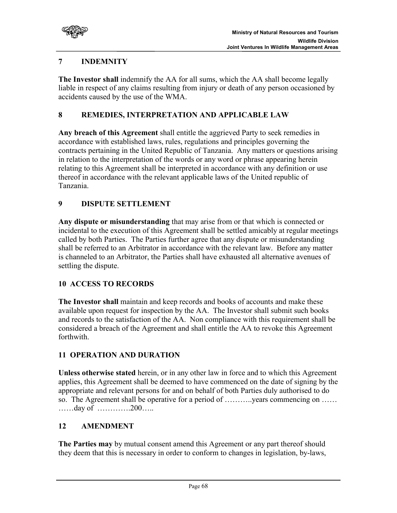

# **7 INDEMNITY**

**The Investor shall** indemnify the AA for all sums, which the AA shall become legally liable in respect of any claims resulting from injury or death of any person occasioned by accidents caused by the use of the WMA.

## **8 REMEDIES, INTERPRETATION AND APPLICABLE LAW**

**Any breach of this Agreement** shall entitle the aggrieved Party to seek remedies in accordance with established laws, rules, regulations and principles governing the contracts pertaining in the United Republic of Tanzania. Any matters or questions arising in relation to the interpretation of the words or any word or phrase appearing herein relating to this Agreement shall be interpreted in accordance with any definition or use thereof in accordance with the relevant applicable laws of the United republic of Tanzania.

### **9 DISPUTE SETTLEMENT**

**Any dispute or misunderstanding** that may arise from or that which is connected or incidental to the execution of this Agreement shall be settled amicably at regular meetings called by both Parties. The Parties further agree that any dispute or misunderstanding shall be referred to an Arbitrator in accordance with the relevant law. Before any matter is channeled to an Arbitrator, the Parties shall have exhausted all alternative avenues of settling the dispute.

### **10 ACCESS TO RECORDS**

**The Investor shall** maintain and keep records and books of accounts and make these available upon request for inspection by the AA. The Investor shall submit such books and records to the satisfaction of the AA. Non compliance with this requirement shall be considered a breach of the Agreement and shall entitle the AA to revoke this Agreement forthwith.

## **11 OPERATION AND DURATION**

**Unless otherwise stated** herein, or in any other law in force and to which this Agreement applies, this Agreement shall be deemed to have commenced on the date of signing by the appropriate and relevant persons for and on behalf of both Parties duly authorised to do so. The Agreement shall be operative for a period of ………..years commencing on …… ……day of ………….200…..

### **12 AMENDMENT**

**The Parties may** by mutual consent amend this Agreement or any part thereof should they deem that this is necessary in order to conform to changes in legislation, by-laws,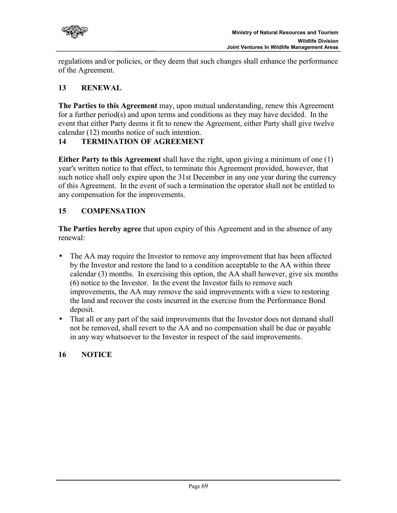

regulations and/or policies, or they deem that such changes shall enhance the performance of the Agreement.

# **13 RENEWAL**

**The Parties to this Agreement** may, upon mutual understanding, renew this Agreement for a further period(s) and upon terms and conditions as they may have decided. In the event that either Party deems it fit to renew the Agreement, either Party shall give twelve calendar (12) months notice of such intention.

### **14 TERMINATION OF AGREEMENT**

**Either Party to this Agreement** shall have the right, upon giving a minimum of one (1) year's written notice to that effect, to terminate this Agreement provided, however, that such notice shall only expire upon the 31st December in any one year during the currency of this Agreement. In the event of such a termination the operator shall not be entitled to any compensation for the improvements.

### **15 COMPENSATION**

**The Parties hereby agree** that upon expiry of this Agreement and in the absence of any renewal:

- The AA may require the Investor to remove any improvement that has been affected by the Investor and restore the land to a condition acceptable to the AA within three calendar (3) months. In exercising this option, the AA shall however, give six months (6) notice to the Investor. In the event the Investor fails to remove such improvements, the AA may remove the said improvements with a view to restoring the land and recover the costs incurred in the exercise from the Performance Bond deposit.
- That all or any part of the said improvements that the Investor does not demand shall not be removed, shall revert to the AA and no compensation shall be due or payable in any way whatsoever to the Investor in respect of the said improvements.

## **16 NOTICE**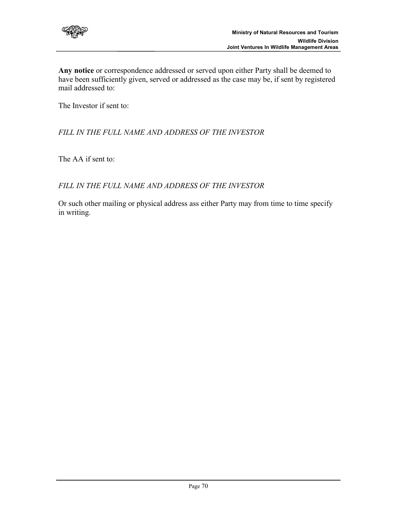

**Any notice** or correspondence addressed or served upon either Party shall be deemed to have been sufficiently given, served or addressed as the case may be, if sent by registered mail addressed to:

The Investor if sent to:

### *FILL IN THE FULL NAME AND ADDRESS OF THE INVESTOR*

The AA if sent to:

*FILL IN THE FULL NAME AND ADDRESS OF THE INVESTOR*

Or such other mailing or physical address ass either Party may from time to time specify in writing.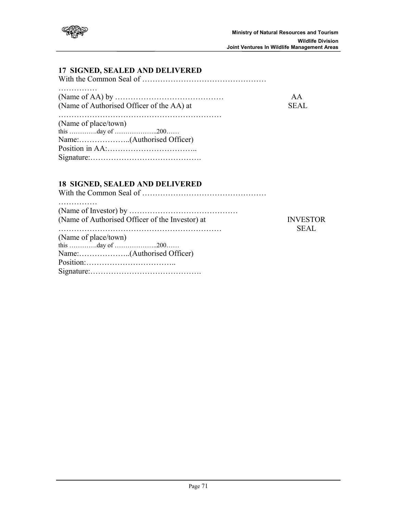

# **17 SIGNED, SEALED AND DELIVERED**

| (Name of AA) by $\dots \dots \dots \dots \dots \dots \dots \dots \dots \dots \dots$<br>(Name of Authorised Officer of the AA) at | AA<br><b>SEAL</b> |
|----------------------------------------------------------------------------------------------------------------------------------|-------------------|
| (Name of place/town)                                                                                                             |                   |
|                                                                                                                                  |                   |

### **18 SIGNED, SEALED AND DELIVERED**

| (Name of Authorised Officer of the Investor) at | <b>INVESTOR</b><br><b>SEAL</b> |
|-------------------------------------------------|--------------------------------|
| (Name of place/town)                            |                                |